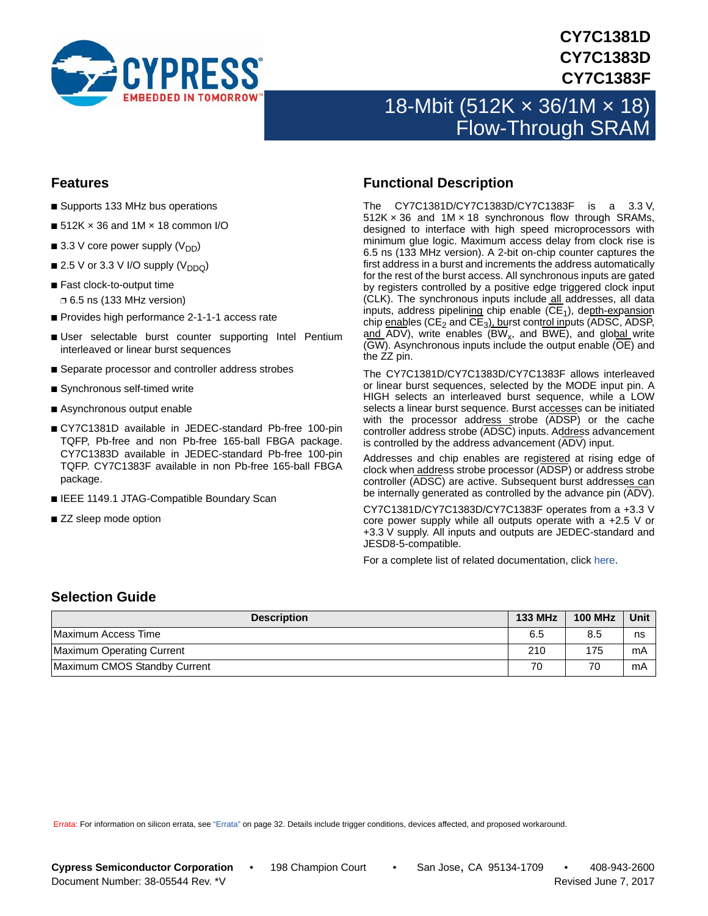

## **CY7C1381D CY7C1383D CY7C1383F**

# 18-Mbit (512K × 36/1M × 18) Flow-Through SRAM

### <span id="page-0-0"></span>**Features**

- Supports 133 MHz bus operations
- $\blacksquare$  512K  $\times$  36 and 1M  $\times$  18 common I/O
- 3.3 V core power supply  $(V_{DD})$
- 2.5 V or 3.3 V I/O supply  $(V_{DDQ})$
- Fast clock-to-output time ❐ 6.5 ns (133 MHz version)
- Provides high performance 2-1-1-1 access rate
- User selectable burst counter supporting Intel Pentium interleaved or linear burst sequences
- Separate processor and controller address strobes
- Synchronous self-timed write
- Asynchronous output enable
- CY7C1381D available in JEDEC-standard Pb-free 100-pin TQFP, Pb-free and non Pb-free 165-ball FBGA package. CY7C1383D available in JEDEC-standard Pb-free 100-pin TQFP. CY7C1383F available in non Pb-free 165-ball FBGA package.
- IEEE 1149.1 JTAG-Compatible Boundary Scan
- ZZ sleep mode option

### <span id="page-0-2"></span>**Functional Description**

The CY7C1381D/CY7C1383D/CY7C1383F is a 3.3 V,  $512K \times 36$  and  $1M \times 18$  synchronous flow through SRAMs, designed to interface with high speed microprocessors with minimum glue logic. Maximum access delay from clock rise is 6.5 ns (133 MHz version). A 2-bit on-chip counter captures the first address in a burst and increments the address automatically for the rest of the burst access. All synchronous inputs are gated by registers controlled by a positive edge triggered clock input (CLK). The synchronous inputs include all addresses, all data inputs, address pipelining chip enable  $(CE<sub>1</sub>)$ , depth-expansion chip enables (CE<sub>2</sub> and  $\overline{\text{CE}}_3$ ), burst control inputs (ADSC, ADSP, and ADV), write enables (BW<sub>x</sub>, and BWE), and global write (GW). Asynchronous inputs include the output enable (OE) and the ZZ pin.

The CY7C1381D/CY7C1383D/CY7C1383F allows interleaved or linear burst sequences, selected by the MODE input pin. A HIGH selects an interleaved burst sequence, while a LOW selects a linear burst sequence. Burst accesses can be initiated with the processor address strobe (ADSP) or the cache controller address strobe (ADSC) inputs. Address advancement is controlled by the address advancement  $(\overline{ADV})$  input.

Addresses and chip enables are registered at rising edge of clock when address strobe processor (ADSP) or address strobe controller (ADSC) are active. Subsequent burst addresses can be internally generated as controlled by the advance pin (ADV).

CY7C1381D/CY7C1383D/CY7C1383F operates from a +3.3 V core power supply while all outputs operate with a +2.5 V or +3.3 V supply. All inputs and outputs are JEDEC-standard and JESD8-5-compatible.

For a complete list of related documentation, click [here](http://www.cypress.com/?rID=14041).

### <span id="page-0-1"></span>**Selection Guide**

| <b>Description</b>           | <b>133 MHz</b> | <b>100 MHz</b> | Unit |
|------------------------------|----------------|----------------|------|
| Maximum Access Time          | 6.5            | 8.5            | ns   |
| Maximum Operating Current    | 210            | 175            | mA   |
| Maximum CMOS Standby Current | 70             | 70             | mA   |

Errata: For information on silicon errata, see ["Errata" on page 32.](#page-31-0) Details include trigger conditions, devices affected, and proposed workaround.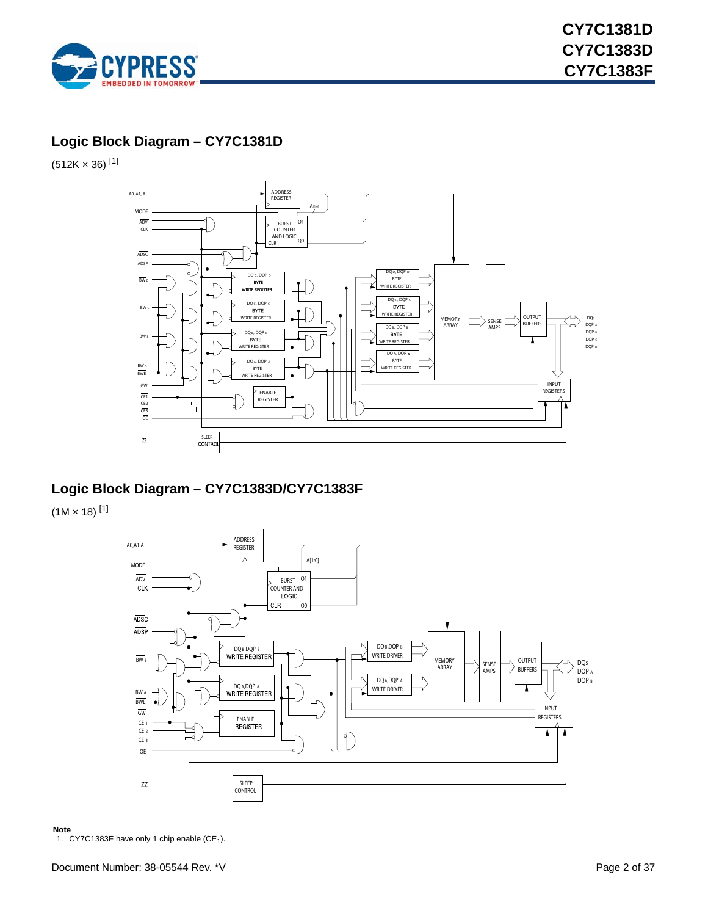

### <span id="page-1-1"></span>**Logic Block Diagram – CY7C1381D**

 $(512K \times 36)$ <sup>[\[1](#page-1-0)]</sup>



### **Logic Block Diagram – CY7C1383D/CY7C1383F**

 $(1M \times 18)^{[1]}$  $(1M \times 18)^{[1]}$  $(1M \times 18)^{[1]}$ 



<span id="page-1-0"></span>**Note** 1. CY7C1383F have only 1 chip enable  $(\overline{\text{CE}}_1)$ .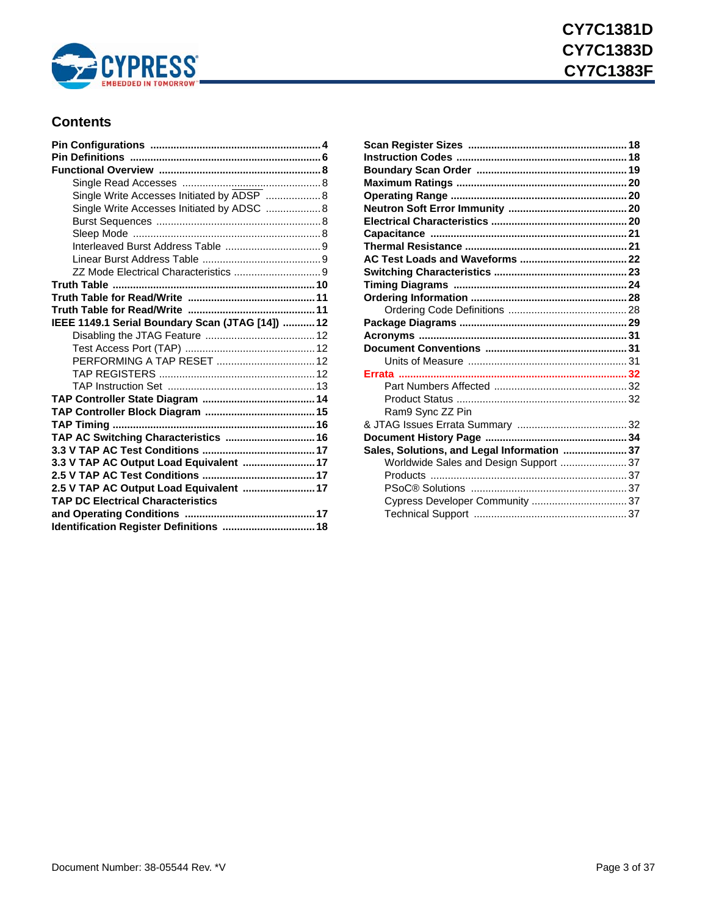

### **Contents**

| Single Write Accesses Initiated by ADSP  8       |  |
|--------------------------------------------------|--|
| Single Write Accesses Initiated by ADSC  8       |  |
|                                                  |  |
|                                                  |  |
|                                                  |  |
|                                                  |  |
|                                                  |  |
|                                                  |  |
|                                                  |  |
|                                                  |  |
| IEEE 1149.1 Serial Boundary Scan (JTAG [14])  12 |  |
|                                                  |  |
|                                                  |  |
| PERFORMING A TAP RESET  12                       |  |
|                                                  |  |
|                                                  |  |
|                                                  |  |
|                                                  |  |
|                                                  |  |
| TAP AC Switching Characteristics  16             |  |
|                                                  |  |
| 3.3 V TAP AC Output Load Equivalent  17          |  |
|                                                  |  |
| 2.5 V TAP AC Output Load Equivalent  17          |  |
| <b>TAP DC Electrical Characteristics</b>         |  |
|                                                  |  |
| Identification Register Definitions  18          |  |

| Ram9 Sync ZZ Pin                            |  |
|---------------------------------------------|--|
|                                             |  |
|                                             |  |
| Sales, Solutions, and Legal Information  37 |  |
| Worldwide Sales and Design Support  37      |  |
|                                             |  |
|                                             |  |
| Cypress Developer Community  37             |  |
|                                             |  |
|                                             |  |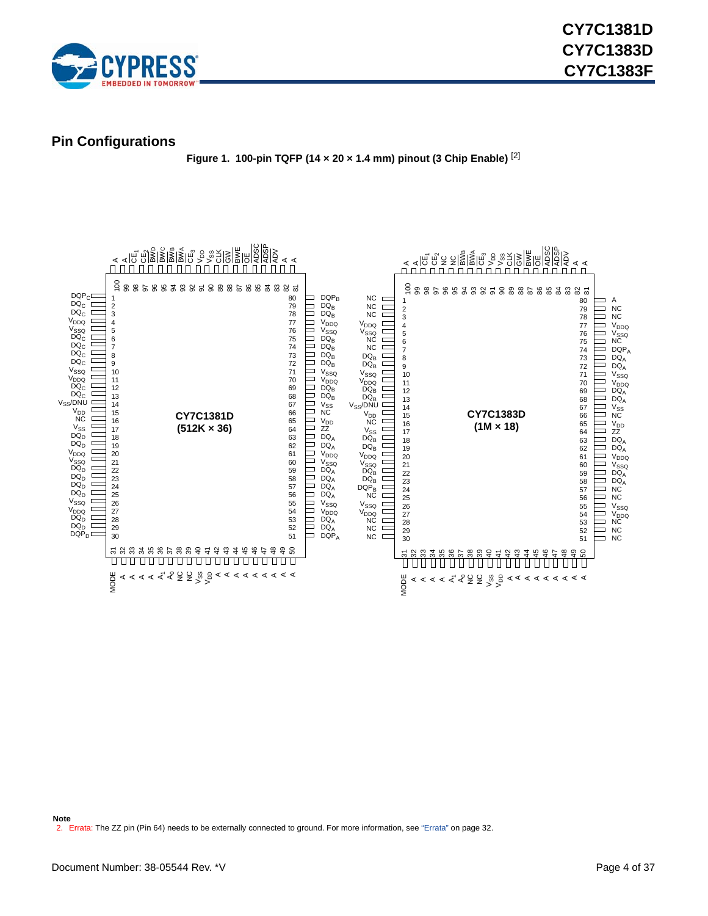

<span id="page-3-2"></span><span id="page-3-0"></span>**Pin Configurations**

**Figure 1. 100-pin TQFP (14 × 20 × 1.4 mm) pinout (3 Chip Enable)** [\[2](#page-3-1)]

<span id="page-3-1"></span>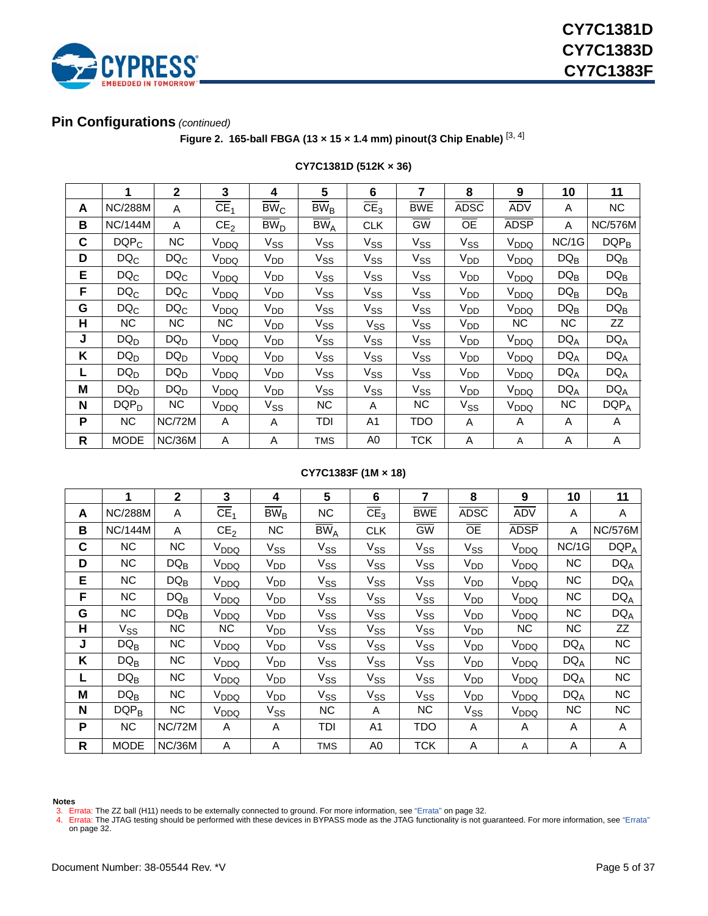

### <span id="page-4-2"></span>**Pin Configurations** *(continued)*

**Figure 2. 165-ball FBGA (13 × 15 × 1.4 mm) pinout (3 Chip Enable)** [[3,](#page-4-0) [4\]](#page-4-1)

|   | 1              | $\mathbf{2}$  | 3                        | 4                                 | 5                                     | 6               | 7               | 8               | 9                | 10     | 11             |
|---|----------------|---------------|--------------------------|-----------------------------------|---------------------------------------|-----------------|-----------------|-----------------|------------------|--------|----------------|
| A | <b>NC/288M</b> | A             | $\overline{\text{CE}}_1$ | $\overline{\text{BW}}_{\text{C}}$ | $\overline{\mathrm{BW}}_{\mathrm{B}}$ | CE <sub>3</sub> | <b>BWE</b>      | <b>ADSC</b>     | <b>ADV</b>       | Α      | <b>NC</b>      |
| B | <b>NC/144M</b> | A             | CE <sub>2</sub>          | $\overline{BW}_{D}$               | $\overline{BW}_{A}$                   | <b>CLK</b>      | $\overline{GW}$ | $\overline{OE}$ | <b>ADSP</b>      | A      | <b>NC/576M</b> |
| C | $DQP_C$        | <b>NC</b>     | V <sub>DDQ</sub>         | $V_{SS}$                          | $V_{SS}$                              | $V_{SS}$        | $V_{SS}$        | $V_{SS}$        | V <sub>DDQ</sub> | NC/1G  | $DQP_B$        |
| D | $DQ_C$         | $DQ_C$        | V <sub>DDQ</sub>         | $V_{DD}$                          | $\mathrm{V_{SS}}$                     | $V_{SS}$        | $V_{SS}$        | $V_{DD}$        | V <sub>DDQ</sub> | $DQ_B$ | $DQ_B$         |
| E | $DQ_C$         | $DQ_C$        | V <sub>DDQ</sub>         | V <sub>DD</sub>                   | $V_{SS}$                              | $V_{SS}$        | $V_{SS}$        | V <sub>DD</sub> | V <sub>DDQ</sub> | $DQ_B$ | $DQ_B$         |
| F | $DQ_C$         | $DQ_C$        | $V_{DDQ}$                | V <sub>DD</sub>                   | $V_{SS}$                              | $V_{SS}$        | $V_{SS}$        | V <sub>DD</sub> | V <sub>DDQ</sub> | $DQ_B$ | $DQ_B$         |
| G | $DQ_C$         | $DQ_C$        | V <sub>DDQ</sub>         | V <sub>DD</sub>                   | $\mathrm{V_{SS}}$                     | $V_{SS}$        | $V_{SS}$        | $V_{DD}$        | V <sub>DDQ</sub> | $DQ_B$ | $DQ_B$         |
| н | <b>NC</b>      | NC.           | NC.                      | V <sub>DD</sub>                   | $V_{SS}$                              | $V_{SS}$        | $V_{SS}$        | $V_{DD}$        | NC               | NC     | ZZ             |
| J | $DQ_D$         | $DQ_D$        | V <sub>DDQ</sub>         | V <sub>DD</sub>                   | $V_{SS}$                              | $V_{SS}$        | $V_{SS}$        | $V_{DD}$        | $V_{DDQ}$        | $DQ_A$ | $DQ_A$         |
| K | $DQ_D$         | $DQ_D$        | V <sub>DDQ</sub>         | V <sub>DD</sub>                   | $\mathrm{V_{SS}}$                     | $V_{SS}$        | $V_{SS}$        | $V_{DD}$        | V <sub>DDQ</sub> | $DQ_A$ | $DQ_A$         |
|   | $DQ_D$         | $DQ_D$        | V <sub>DDQ</sub>         | V <sub>DD</sub>                   | $V_{SS}$                              | $V_{SS}$        | $V_{SS}$        | V <sub>DD</sub> | V <sub>DDQ</sub> | $DQ_A$ | $DQ_A$         |
| M | $DQ_D$         | $DQ_D$        | $V_{DDQ}$                | V <sub>DD</sub>                   | $V_{SS}$                              | $V_{SS}$        | $V_{SS}$        | V <sub>DD</sub> | V <sub>DDQ</sub> | $DQ_A$ | $DQ_A$         |
| N | $DQP_D$        | NC.           | V <sub>DDQ</sub>         | $V_{SS}$                          | NC.                                   | A               | <b>NC</b>       | $V_{SS}$        | V <sub>DDQ</sub> | NC.    | $DQP_A$        |
| P | NС             | <b>NC/72M</b> | A                        | A                                 | TDI                                   | A1              | TDO             | A               | A                | A      | A              |
| R | <b>MODE</b>    | <b>NC/36M</b> | A                        | A                                 | <b>TMS</b>                            | A <sub>0</sub>  | <b>TCK</b>      | A               | A                | A      | A              |

#### **CY7C1381D (512K × 36)**

#### **CY7C1383F (1M × 18)**

|   | 1              | $\mathbf{2}$  | 3                        | 4                                 | $5\phantom{1}$          | 6                 | 7          | 8               | 9                | 10        | 11             |
|---|----------------|---------------|--------------------------|-----------------------------------|-------------------------|-------------------|------------|-----------------|------------------|-----------|----------------|
| A | <b>NC/288M</b> | A             | $\overline{\text{CE}}_1$ | $\overline{\text{BW}}_{\text{B}}$ | <b>NC</b>               | $\overline{CE}_3$ | <b>BWE</b> | <b>ADSC</b>     | <b>ADV</b>       | A         | A              |
| B | <b>NC/144M</b> | A             | CE <sub>2</sub>          | NC.                               | $\overline{\rm BW}_{A}$ | <b>CLK</b>        | GW         | <b>OE</b>       | <b>ADSP</b>      | Α         | <b>NC/576M</b> |
| C | <b>NC</b>      | <b>NC</b>     | $V_{DDQ}$                | $V_{SS}$                          | $V_{SS}$                | $V_{SS}$          | $V_{SS}$   | $V_{SS}$        | V <sub>DDQ</sub> | NC/1G     | $DQP_A$        |
| D | <b>NC</b>      | $DQ_B$        | V <sub>DDQ</sub>         | V <sub>DD</sub>                   | $V_{SS}$                | $V_{SS}$          | $V_{SS}$   | V <sub>DD</sub> | V <sub>DDQ</sub> | <b>NC</b> | $DQ_A$         |
| E | <b>NC</b>      | $DQ_B$        | $V_{DDQ}$                | V <sub>DD</sub>                   | $V_{SS}$                | $V_{SS}$          | $V_{SS}$   | V <sub>DD</sub> | V <sub>DDQ</sub> | <b>NC</b> | $DQ_A$         |
| F | <b>NC</b>      | $DQ_B$        | $V_{DDQ}$                | V <sub>DD</sub>                   | $V_{SS}$                | $V_{SS}$          | $V_{SS}$   | $V_{DD}$        | V <sub>DDQ</sub> | <b>NC</b> | $DQ_A$         |
| G | <b>NC</b>      | $DQ_B$        | V <sub>DDQ</sub>         | V <sub>DD</sub>                   | $V_{SS}$                | V <sub>SS</sub>   | $V_{SS}$   | V <sub>DD</sub> | V <sub>DDQ</sub> | <b>NC</b> | $DQ_A$         |
| Н | $V_{SS}$       | <b>NC</b>     | NC.                      | V <sub>DD</sub>                   | $\mathrm{V_{SS}}$       | $V_{SS}$          | $V_{SS}$   | V <sub>DD</sub> | ΝC               | <b>NC</b> | ZZ             |
| J | $DQ_B$         | <b>NC</b>     | V <sub>DDQ</sub>         | V <sub>DD</sub>                   | $V_{SS}$                | $V_{SS}$          | $V_{SS}$   | $V_{DD}$        | V <sub>DDQ</sub> | $DQ_A$    | NC             |
| Κ | $DQ_B$         | <b>NC</b>     | V <sub>DDQ</sub>         | V <sub>DD</sub>                   | $V_{SS}$                | $V_{SS}$          | $V_{SS}$   | V <sub>DD</sub> | V <sub>DDQ</sub> | $DQ_A$    | NC             |
|   | $DQ_B$         | <b>NC</b>     | $V_{DDQ}$                | V <sub>DD</sub>                   | $\mathrm{V_{SS}}$       | $V_{SS}$          | $V_{SS}$   | V <sub>DD</sub> | V <sub>DDQ</sub> | $DQ_A$    | NC             |
| M | $DQ_B$         | <b>NC</b>     | V <sub>DDQ</sub>         | V <sub>DD</sub>                   | $V_{SS}$                | $V_{SS}$          | $V_{SS}$   | V <sub>DD</sub> | V <sub>DDQ</sub> | $DQ_A$    | NC             |
| N | $DQP_B$        | NC.           | V <sub>DDQ</sub>         | $V_{SS}$                          | NC.                     | A                 | <b>NC</b>  | $V_{SS}$        | $V_{DDQ}$        | <b>NC</b> | <b>NC</b>      |
| P | <b>NC</b>      | <b>NC/72M</b> | A                        | A                                 | TDI                     | A <sub>1</sub>    | TDO        | A               | Α                | Α         | A              |
| R | <b>MODE</b>    | <b>NC/36M</b> | A                        | A                                 | <b>TMS</b>              | A0                | <b>TCK</b> | A               | Α                | Α         | A              |

#### **Notes**

- <span id="page-4-0"></span>
- <span id="page-4-1"></span>3. Errata: The ZZ ball (H11) needs to be externally connected to ground. For more information, see ["Errata" on page 32.](#page-31-0)<br>4. Errata: The JTAG testing should be performed with these devices in BYPASS mode as the JTAG function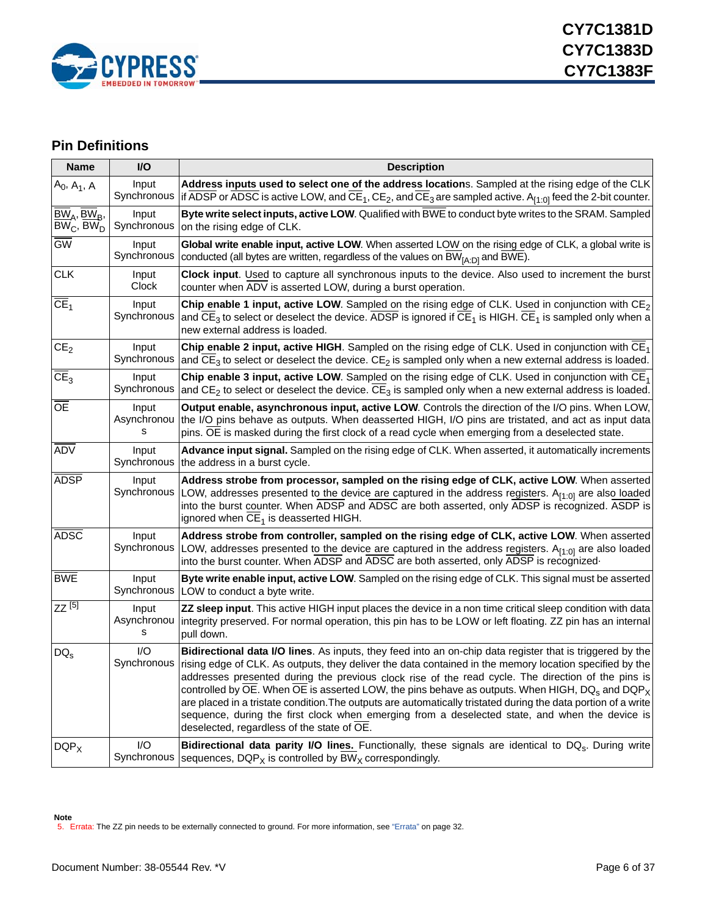

### <span id="page-5-0"></span>**Pin Definitions**

| <b>Name</b>                                                  | I/O                       | <b>Description</b>                                                                                                                                                                                                                                                                                                                                                                                                                                                                                                                                                                                                                                                                                                                                |
|--------------------------------------------------------------|---------------------------|---------------------------------------------------------------------------------------------------------------------------------------------------------------------------------------------------------------------------------------------------------------------------------------------------------------------------------------------------------------------------------------------------------------------------------------------------------------------------------------------------------------------------------------------------------------------------------------------------------------------------------------------------------------------------------------------------------------------------------------------------|
| $A_0$ , $A_1$ , $A$                                          | Input<br>Synchronous      | Address inputs used to select one of the address locations. Sampled at the rising edge of the CLK<br>if ADSP or ADSC is active LOW, and $\overline{CE}_1$ , CE <sub>2</sub> , and $\overline{CE}_3$ are sampled active. A <sub>[1:0]</sub> feed the 2-bit counter.                                                                                                                                                                                                                                                                                                                                                                                                                                                                                |
| $\overline{BW}_{A}$ , B $W_{B}$ ,<br>$BWC$ , BW <sub>D</sub> | Input<br>Synchronous      | Byte write select inputs, active LOW. Qualified with BWE to conduct byte writes to the SRAM. Sampled<br>on the rising edge of CLK.                                                                                                                                                                                                                                                                                                                                                                                                                                                                                                                                                                                                                |
| $\overline{GW}$                                              | Input<br>Synchronous      | Global write enable input, active LOW. When asserted LOW on the rising edge of CLK, a global write is<br>conducted (all bytes are written, regardless of the values on BW <sub>IA:DI</sub> and BWE).                                                                                                                                                                                                                                                                                                                                                                                                                                                                                                                                              |
| <b>CLK</b>                                                   | Input<br>Clock            | Clock input. Used to capture all synchronous inputs to the device. Also used to increment the burst<br>counter when ADV is asserted LOW, during a burst operation.                                                                                                                                                                                                                                                                                                                                                                                                                                                                                                                                                                                |
| CE <sub>1</sub>                                              | Input<br>Synchronous      | Chip enable 1 input, active LOW. Sampled on the rising edge of CLK. Used in conjunction with $CE_2$<br>and CE <sub>3</sub> to select or deselect the device. ADSP is ignored if CE <sub>1</sub> is HIGH. CE <sub>1</sub> is sampled only when a<br>new external address is loaded.                                                                                                                                                                                                                                                                                                                                                                                                                                                                |
| CE <sub>2</sub>                                              | Input<br>Synchronous      | Chip enable 2 input, active HIGH. Sampled on the rising edge of CLK. Used in conjunction with $CE_1$<br>and CE <sub>3</sub> to select or deselect the device. CE <sub>2</sub> is sampled only when a new external address is loaded.                                                                                                                                                                                                                                                                                                                                                                                                                                                                                                              |
| $\overline{CE}_3$                                            | Input<br>Synchronous      | Chip enable 3 input, active LOW. Sampled on the rising edge of CLK. Used in conjunction with $CE_1$<br>and $CE2$ to select or deselect the device. $CE3$ is sampled only when a new external address is loaded.                                                                                                                                                                                                                                                                                                                                                                                                                                                                                                                                   |
| <b>OE</b>                                                    | Input<br>Asynchronou<br>s | Output enable, asynchronous input, active LOW. Controls the direction of the I/O pins. When LOW,<br>the I/O pins behave as outputs. When deasserted HIGH, I/O pins are tristated, and act as input data<br>pins. OE is masked during the first clock of a read cycle when emerging from a deselected state.                                                                                                                                                                                                                                                                                                                                                                                                                                       |
| <b>ADV</b>                                                   | Input<br>Synchronous      | Advance input signal. Sampled on the rising edge of CLK. When asserted, it automatically increments<br>the address in a burst cycle.                                                                                                                                                                                                                                                                                                                                                                                                                                                                                                                                                                                                              |
| <b>ADSP</b>                                                  | Input                     | Address strobe from processor, sampled on the rising edge of CLK, active LOW. When asserted<br>Synchronous LOW, addresses presented to the device are captured in the address registers. $A_{[1:0]}$ are also loaded<br>into the burst counter. When ADSP and ADSC are both asserted, only ADSP is recognized. ASDP is<br>ignored when CE <sub>1</sub> is deasserted HIGH.                                                                                                                                                                                                                                                                                                                                                                        |
| <b>ADSC</b>                                                  | Input<br>Synchronous      | Address strobe from controller, sampled on the rising edge of CLK, active LOW. When asserted<br>LOW, addresses presented to the device are captured in the address registers. $A_{[1:0]}$ are also loaded<br>into the burst counter. When ADSP and ADSC are both asserted, only ADSP is recognized-                                                                                                                                                                                                                                                                                                                                                                                                                                               |
| <b>BWE</b>                                                   | Input<br>Synchronous      | Byte write enable input, active LOW. Sampled on the rising edge of CLK. This signal must be asserted<br>LOW to conduct a byte write.                                                                                                                                                                                                                                                                                                                                                                                                                                                                                                                                                                                                              |
| $ZZ^{[5]}$                                                   | Input<br>Asynchronou<br>s | ZZ sleep input. This active HIGH input places the device in a non time critical sleep condition with data<br>integrity preserved. For normal operation, this pin has to be LOW or left floating. ZZ pin has an internal<br>pull down.                                                                                                                                                                                                                                                                                                                                                                                                                                                                                                             |
| $DQ_{S}$                                                     | 1/O<br>Synchronous        | Bidirectional data I/O lines. As inputs, they feed into an on-chip data register that is triggered by the<br>rising edge of CLK. As outputs, they deliver the data contained in the memory location specified by the<br>addresses presented during the previous clock rise of the read cycle. The direction of the pins is<br>controlled by $\overline{OE}$ . When $\overline{OE}$ is asserted LOW, the pins behave as outputs. When HIGH, DQ <sub>s</sub> and DQP <sub>X</sub><br>are placed in a tristate condition. The outputs are automatically tristated during the data portion of a write<br>sequence, during the first clock when emerging from a deselected state, and when the device is<br>deselected, regardless of the state of OE. |
| $DQP_X$                                                      | I/O<br>Synchronous        | Bidirectional data parity I/O lines. Functionally, these signals are identical to DQ <sub>s</sub> . During write<br>sequences, DQP <sub>X</sub> is controlled by BW <sub>X</sub> correspondingly.                                                                                                                                                                                                                                                                                                                                                                                                                                                                                                                                                 |

<span id="page-5-1"></span>**Note** 5. Errata: The ZZ pin needs to be externally connected to ground. For more information, see ["Errata" on page 32.](#page-31-0)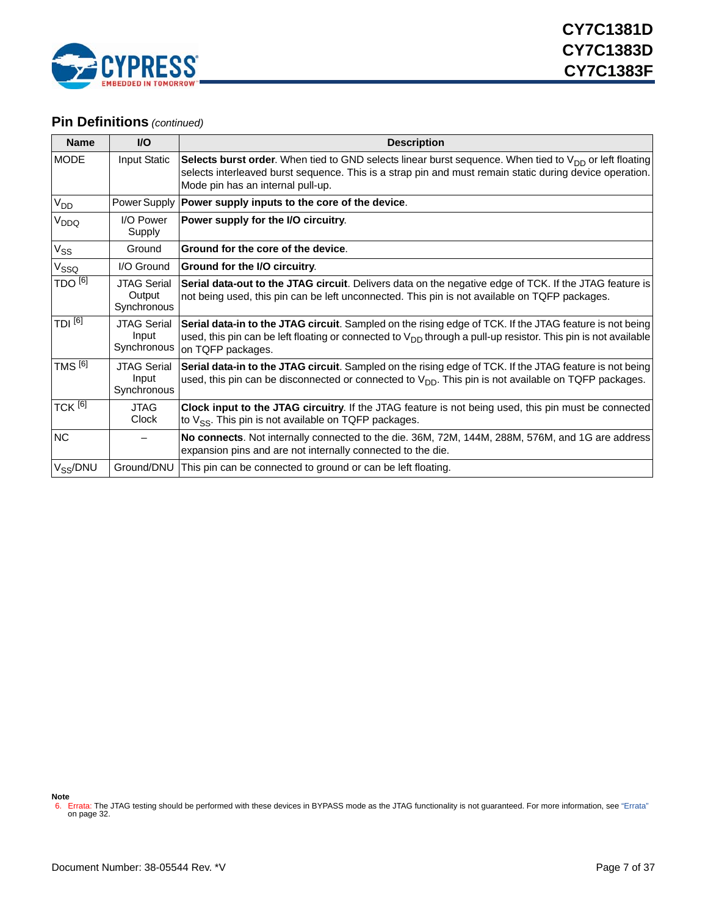

### **Pin Definitions** *(continued)*

| <b>Name</b>        | $UO$                                        | <b>Description</b>                                                                                                                                                                                                                                                 |
|--------------------|---------------------------------------------|--------------------------------------------------------------------------------------------------------------------------------------------------------------------------------------------------------------------------------------------------------------------|
| <b>MODE</b>        | Input Static                                | Selects burst order. When tied to GND selects linear burst sequence. When tied to V <sub>DD</sub> or left floating<br>selects interleaved burst sequence. This is a strap pin and must remain static during device operation.<br>Mode pin has an internal pull-up. |
| V <sub>DD</sub>    |                                             | Power Supply   Power supply inputs to the core of the device.                                                                                                                                                                                                      |
| V <sub>DDQ</sub>   | I/O Power<br>Supply                         | Power supply for the I/O circuitry.                                                                                                                                                                                                                                |
| $V_{SS}$           | Ground                                      | Ground for the core of the device.                                                                                                                                                                                                                                 |
| $V_{SSQ}$          | I/O Ground                                  | Ground for the I/O circuitry.                                                                                                                                                                                                                                      |
| TDO <sup>[6]</sup> | <b>JTAG Serial</b><br>Output<br>Synchronous | Serial data-out to the JTAG circuit. Delivers data on the negative edge of TCK. If the JTAG feature is<br>not being used, this pin can be left unconnected. This pin is not available on TQFP packages.                                                            |
| TDI <sup>[6]</sup> | <b>JTAG Serial</b><br>Input<br>Synchronous  | Serial data-in to the JTAG circuit. Sampled on the rising edge of TCK. If the JTAG feature is not being<br>used, this pin can be left floating or connected to $V_{DD}$ through a pull-up resistor. This pin is not available<br>on TQFP packages.                 |
| TMS <sup>[6]</sup> | <b>JTAG Serial</b><br>Input<br>Synchronous  | Serial data-in to the JTAG circuit. Sampled on the rising edge of TCK. If the JTAG feature is not being<br>used, this pin can be disconnected or connected to $V_{DD}$ . This pin is not available on TQFP packages.                                               |
| TCK <sup>[6]</sup> | <b>JTAG</b><br>Clock                        | Clock input to the JTAG circuitry. If the JTAG feature is not being used, this pin must be connected<br>to $V_{SS}$ . This pin is not available on TQFP packages.                                                                                                  |
| <b>NC</b>          |                                             | No connects. Not internally connected to the die. 36M, 72M, 144M, 288M, 576M, and 1G are address<br>expansion pins and are not internally connected to the die.                                                                                                    |
| $V_{SS}/DNU$       | Ground/DNU                                  | This pin can be connected to ground or can be left floating.                                                                                                                                                                                                       |

**Note**

<span id="page-6-0"></span><sup>6.</sup> Errata: The JTAG testing should be performed with these devices in BYPASS mode as the JTAG functionality is not guaranteed. For more information, see ["Errata"](#page-31-0)  [on page 32.](#page-31-0)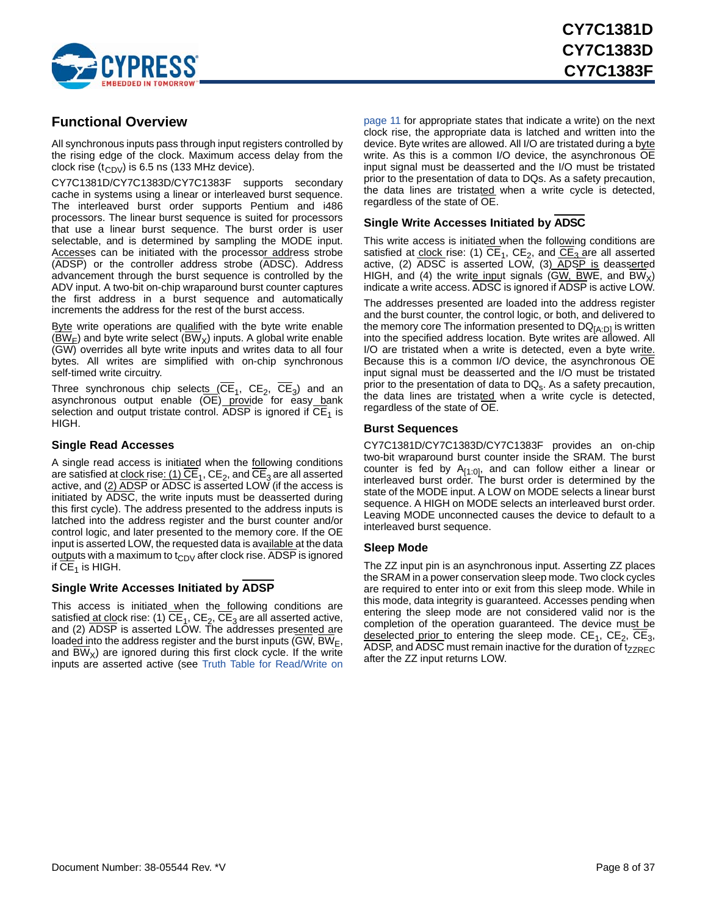

### <span id="page-7-0"></span>**Functional Overview**

All synchronous inputs pass through input registers controlled by the rising edge of the clock. Maximum access delay from the clock rise  $(t_{CDV})$  is 6.5 ns (133 MHz device).

CY7C1381D/CY7C1383D/CY7C1383F supports secondary cache in systems using a linear or interleaved burst sequence. The interleaved burst order supports Pentium and i486 processors. The linear burst sequence is suited for processors that use a linear burst sequence. The burst order is user selectable, and is determined by sampling the MODE input. Accesses can be initiated with the processor address strobe (ADSP) or the controller address strobe (ADSC). Address advancement through the burst sequence is controlled by the ADV input. A two-bit on-chip wraparound burst counter captures the first address in a burst sequence and automatically increments the address for the rest of the burst access.

Byte write operations are qualified with the byte write enable  $(BW_F)$  and byte write select (BW<sub>X</sub>) inputs. A global write enable (GW) overrides all byte write inputs and writes data to all four bytes. All writes are simplified with on-chip synchronous self-timed write circuitry.

Three synchronous chip selects  $(CE_1, CE_2, CE_3)$  and an asynchronous output enable (OE) provide for easy bank selection and output tristate control. ADSP is ignored if  $\overline{\text{CE}}_1$  is HIGH.

#### <span id="page-7-1"></span>**Single Read Accesses**

A single read access is initiated when the following conditions are satisfied at clock rise:  $(1)$  CE<sub>1</sub>, CE<sub>2</sub>, and CE<sub>3</sub> are all asserted active, and (2) ADSP or ADSC is asserted LOW (if the access is initiated by ADSC, the write inputs must be deasserted during this first cycle). The address presented to the address inputs is latched into the address register and the burst counter and/or control logic, and later presented to the memory core. If the OE input is asserted LOW, the requested data is available at the data outputs with a maximum to  $t_{CDV}$  after clock rise. ADSP is ignored if  $CE<sub>1</sub>$  is HIGH.

#### <span id="page-7-2"></span>**Single Write Accesses Initiated by ADSP**

This access is initiated when the following conditions are satisfied at clock rise: (1)  $CE_1$ ,  $CE_2$ ,  $CE_3$  are all asserted active, and (2) ADSP is asserted LOW. The addresses presented are loaded into the address register and the burst inputs ( $\overline{\text{GW}}$ ,  $\overline{\text{BW}}_{\text{E}}$ , and BW<sub>x</sub>) are ignored during this first clock cycle. If the write inputs are asserted active (see [Truth Table for Read/Write on](#page-10-0) [page 11](#page-10-0) for appropriate states that indicate a write) on the next clock rise, the appropriate data is latched and written into the device. Byte writes are allowed. All I/O are tristated during a byte write. As this is a common I/O device, the asynchronous OE input signal must be deasserted and the I/O must be tristated prior to the presentation of data to DQs. As a safety precaution, the data lines are tristated when a write cycle is detected, regardless of the state of OE.

#### <span id="page-7-3"></span>**Single Write Accesses Initiated by ADSC**

This write access is initiated when the following conditions are satisfied at clock rise: (1)  $CE_1$ ,  $CE_2$ , and  $CE_3$  are all asserted active,  $(2)$  ADSC is asserted LOW,  $(3)$  ADSP is deasserted HIGH, and (4) the write input signals (GW, BWE, and BW $_{\text{X}}$ ) indicate a write access. ADSC is ignored if ADSP is active LOW.

The addresses presented are loaded into the address register and the burst counter, the control logic, or both, and delivered to the memory core The information presented to  $DQ_{[A:D]}$  is written into the specified address location. Byte writes are allowed. All I/O are tristated when a write is detected, even a byte write. Because this is a common I/O device, the asynchronous OE input signal must be deasserted and the I/O must be tristated prior to the presentation of data to  $DQ_s$ . As a safety precaution, the data lines are tristated when a write cycle is detected, regardless of the state of OE.

#### <span id="page-7-4"></span>**Burst Sequences**

CY7C1381D/CY7C1383D/CY7C1383F provides an on-chip two-bit wraparound burst counter inside the SRAM. The burst counter is fed by A<sub>[1:0]</sub>, and can follow either a linear or interleaved burst order. The burst order is determined by the state of the MODE input. A LOW on MODE selects a linear burst sequence. A HIGH on MODE selects an interleaved burst order. Leaving MODE unconnected causes the device to default to a interleaved burst sequence.

#### <span id="page-7-5"></span>**Sleep Mode**

The ZZ input pin is an asynchronous input. Asserting ZZ places the SRAM in a power conservation sleep mode. Two clock cycles are required to enter into or exit from this sleep mode. While in this mode, data integrity is guaranteed. Accesses pending when entering the sleep mode are not considered valid nor is the completion of the operation guaranteed. The device must be deselected prior to entering the sleep mode.  $CE_1$ ,  $CE_2$ ,  $CE_3$ , ADSP, and ADSC must remain inactive for the duration of  $t_{ZZRFC}$ after the ZZ input returns LOW.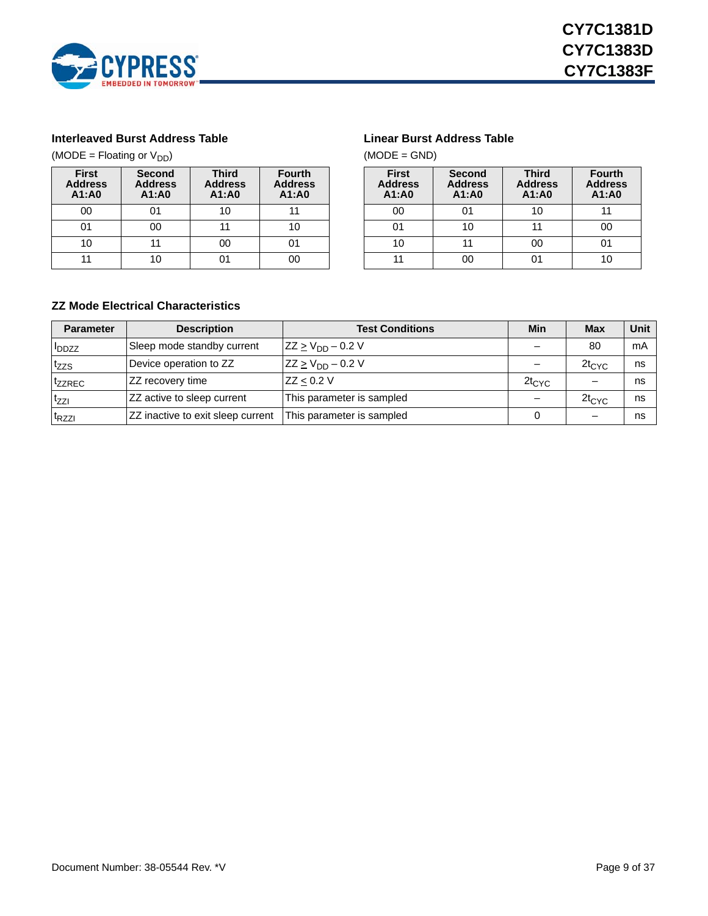

#### <span id="page-8-0"></span>**Interleaved Burst Address Table**

(MODE = Floating or  $V_{DD}$ )

| <b>First</b><br><b>Address</b><br>A1:A0 | <b>Second</b><br><b>Address</b><br>A1:A0 |    | <b>Fourth</b><br><b>Address</b><br>A1:A0 |  |  |  |
|-----------------------------------------|------------------------------------------|----|------------------------------------------|--|--|--|
| 00                                      | 01                                       | 10 |                                          |  |  |  |
| 01                                      | იი                                       | 11 |                                          |  |  |  |
| 10                                      | 11                                       | 00 | በ1                                       |  |  |  |
|                                         | 10                                       |    |                                          |  |  |  |

#### <span id="page-8-1"></span>**Linear Burst Address Table**

 $(MODE = GND)$ 

| <b>First</b><br><b>Address</b><br>A1:AD | <b>Second</b><br><b>Address</b><br>A1:A0 |    | <b>Fourth</b><br><b>Address</b><br>A1:A0 |  |  |
|-----------------------------------------|------------------------------------------|----|------------------------------------------|--|--|
| 00                                      | ი1                                       | 10 |                                          |  |  |
|                                         | 10                                       | 11 | იი                                       |  |  |
| 10                                      | 11                                       | 00 |                                          |  |  |
| nn                                      |                                          |    |                                          |  |  |

### <span id="page-8-2"></span>**ZZ Mode Electrical Characteristics**

| <b>Parameter</b>         | <b>Description</b>                | <b>Test Conditions</b>    | Min        | <b>Max</b> | Unit |
|--------------------------|-----------------------------------|---------------------------|------------|------------|------|
| <b>I</b> <sub>DDZZ</sub> | Sleep mode standby current        | $ZZ \ge V_{DD} - 0.2 V$   |            | 80         | mA   |
| tzzs                     | Device operation to ZZ            | $ZZ \ge V_{DD} - 0.2 V$   |            | $2t_{CYC}$ | ns   |
| <sup>t</sup> zzrec       | ZZ recovery time                  | ZZ < 0.2 V                | $2t_{CYC}$ |            | ns   |
| tzzi                     | ZZ active to sleep current        | This parameter is sampled |            | $2t_{CYC}$ | ns   |
| t <sub>RZZI</sub>        | ZZ inactive to exit sleep current | This parameter is sampled |            |            | ns   |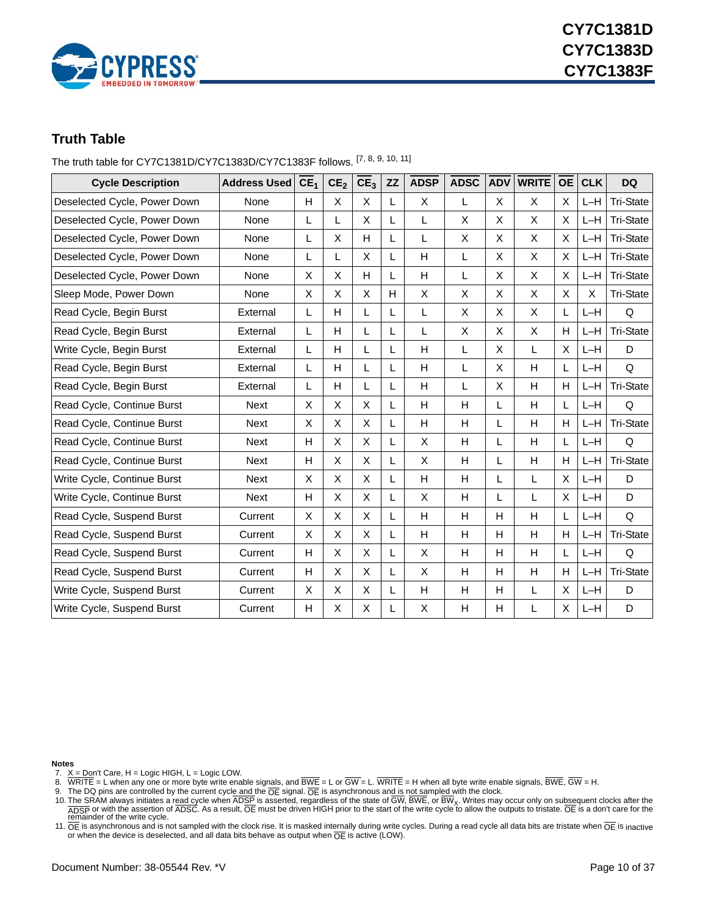

### <span id="page-9-0"></span>**Truth Table**

The truth table for CY7C1381D/CY7C1383D/CY7C1383F follows. [\[7](#page-9-1), [8](#page-9-2), [9](#page-9-3), [10](#page-9-4), [11\]](#page-9-5)

| <b>Cycle Description</b>     | <b>Address Used</b> | CE <sub>1</sub> | CE <sub>2</sub> | CE <sub>3</sub> | ZZ | <b>ADSP</b>  | <b>ADSC</b> | <b>ADV</b> | <b>WRITE</b> | <b>OE</b>      | <b>CLK</b> | <b>DQ</b>        |
|------------------------------|---------------------|-----------------|-----------------|-----------------|----|--------------|-------------|------------|--------------|----------------|------------|------------------|
| Deselected Cycle, Power Down | None                | H               | X               | $\mathsf{X}$    | L  | X            | L           | X          | X            | $\pmb{\times}$ | $L-H$      | <b>Tri-State</b> |
| Deselected Cycle, Power Down | None                | L               | L               | $\mathsf{X}$    | L  | L            | X           | X          | X            | X              | $L-H$      | <b>Tri-State</b> |
| Deselected Cycle, Power Down | None                | L               | X               | H               | L  | L            | X           | X          | X            | X              | $L-H$      | <b>Tri-State</b> |
| Deselected Cycle, Power Down | None                | L               | L               | X               | L  | Н            | L           | X          | X            | X              | $L-H$      | <b>Tri-State</b> |
| Deselected Cycle, Power Down | None                | X               | Χ               | H               | L  | $\mathsf{H}$ | L           | X          | X            | X              | $L-H$      | <b>Tri-State</b> |
| Sleep Mode, Power Down       | None                | X               | Χ               | X               | H  | X            | X           | X          | X            | X              | Χ          | <b>Tri-State</b> |
| Read Cycle, Begin Burst      | External            | L               | H               | L               | L  | L            | X           | X          | X            | L              | $L-H$      | Q                |
| Read Cycle, Begin Burst      | External            | L               | H               | L               | L  | L            | X           | X          | X            | H              | $L-H$      | <b>Tri-State</b> |
| Write Cycle, Begin Burst     | External            | L               | H               | L               | L  | H            | L           | X          | Г            | X              | $L-H$      | D                |
| Read Cycle, Begin Burst      | External            | L               | н               | L               | L  | H            | L           | X          | Н            | L              | $L-H$      | Q                |
| Read Cycle, Begin Burst      | External            | L               | H               | L               | L  | H            | L           | X          | H            | H              | $L-H$      | <b>Tri-State</b> |
| Read Cycle, Continue Burst   | <b>Next</b>         | X               | X               | X               | L  | Н            | Н           | L          | H            | L              | $L-H$      | Q                |
| Read Cycle, Continue Burst   | <b>Next</b>         | X               | X               | X               | L  | H            | H           | L          | H            | H              | $L-H$      | <b>Tri-State</b> |
| Read Cycle, Continue Burst   | Next                | H               | X               | X               | L  | X            | Н           | L          | Н            | L              | $L-H$      | Q                |
| Read Cycle, Continue Burst   | Next                | H               | X               | X               | L  | X            | Н           | L          | H            | H              | $L-H$      | <b>Tri-State</b> |
| Write Cycle, Continue Burst  | Next                | X               | X               | X               | L  | Н            | Н           | L          | L            | X              | $L-H$      | D                |
| Write Cycle, Continue Burst  | Next                | H               | Χ               | X               | L  | X            | Н           | L          | L            | X              | $L-H$      | D                |
| Read Cycle, Suspend Burst    | Current             | X               | X               | X               | L  | Н            | Н           | H          | H            | L              | $L-H$      | Q                |
| Read Cycle, Suspend Burst    | Current             | X               | X               | X               | L  | Н            | Н           | H          | H            | H              | $L-H$      | <b>Tri-State</b> |
| Read Cycle, Suspend Burst    | Current             | H               | X               | $\mathsf{X}$    | L  | X            | H           | H          | H            | L              | $L-H$      | Q                |
| Read Cycle, Suspend Burst    | Current             | H               | X               | X               | L  | X            | H           | H          | Н            | H              | $L-H$      | <b>Tri-State</b> |
| Write Cycle, Suspend Burst   | Current             | X               | X               | $\mathsf{X}$    | L  | H            | Н           | Н          | L            | X              | $L-H$      | D                |
| Write Cycle, Suspend Burst   | Current             | H               | X               | X               | L  | X            | Н           | H          | L            | X              | $L-H$      | D                |

**Notes**

<span id="page-9-1"></span>7. X = Don't Care, H = Logic HIGH, L = Logic LOW.

<span id="page-9-2"></span>

<span id="page-9-4"></span><span id="page-9-3"></span>

8. WRITE = L when any one or more byte write enable signals, and BWE = L or GW = L. WRITE = H when all byte write enable signals, BWE, GW = H.<br>9. The DQ pins are controlled by the current cycle and the OE signal. OE is as

<span id="page-9-5"></span>11.  $\overline{OE}$  is asynchronous and is not sampled with the clock rise. It is masked internally during write cycles. During a read cycle all data bits are tristate when  $\overline{OE}$  is inactive or when the device is deselected,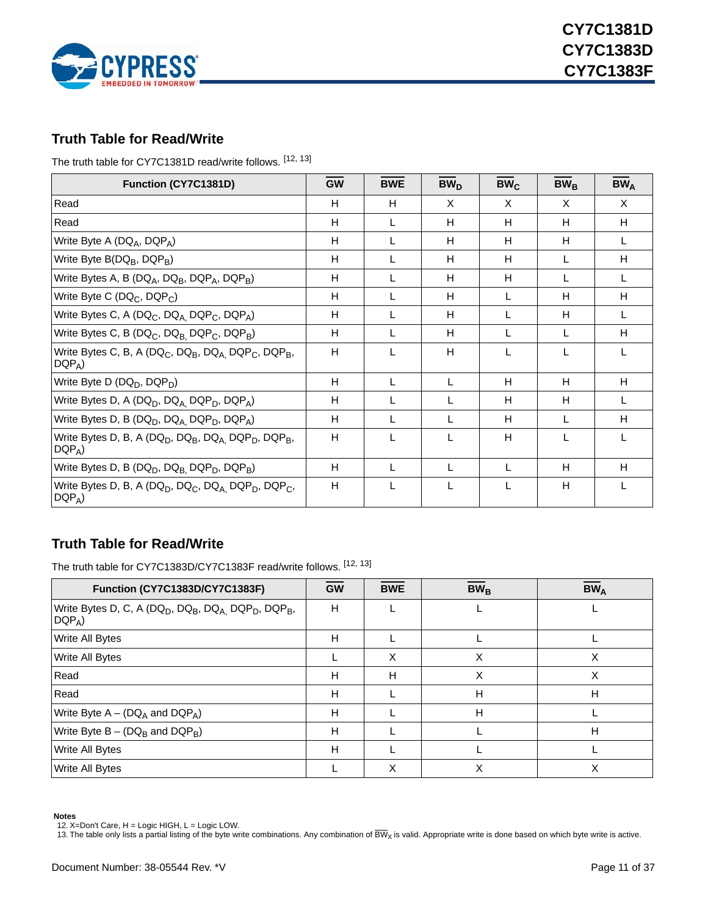

### <span id="page-10-0"></span>**Truth Table for Read/Write**

The truth table for CY7C1381D read/write follows. [\[12](#page-10-2), [13](#page-10-3)]

| Function (CY7C1381D)                                                                                                         | <b>GW</b> | <b>BWE</b> | BW <sub>D</sub> | $BW_C$ | $BW_B$ | $BW_A$ |
|------------------------------------------------------------------------------------------------------------------------------|-----------|------------|-----------------|--------|--------|--------|
| Read                                                                                                                         | H         | H          | X               | X      | X      | X      |
| Read                                                                                                                         | Н         | L          | Н               | H      | H      | H      |
| Write Byte A (DQ <sub>A</sub> , DQP <sub>A</sub> )                                                                           | H         | L          | Н               | H      | H      |        |
| Write Byte B(DQ <sub>B</sub> , DQP <sub>B</sub> )                                                                            | H         | L          | Н               | H      | L      | Н      |
| Write Bytes A, B ( $DQ_A$ , $DQ_B$ , $DQP_A$ , $DQP_B$ )                                                                     | H         |            | H               | H      |        |        |
| Write Byte C (DQ <sub>C</sub> , DQP <sub>C</sub> )                                                                           | H         |            | H               | L      | H      | н      |
| Write Bytes C, A (DQ <sub>C</sub> , DQ <sub>A,</sub> DQP <sub>C</sub> , DQP <sub>A</sub> )                                   | H         | L          | H               | L      | H      |        |
| Write Bytes C, B (DQ <sub>C</sub> , DQ <sub>B,</sub> DQP <sub>C</sub> , DQP <sub>B</sub> )                                   | H         | L          | H               | L      | L      | H      |
| Write Bytes C, B, A (DQ <sub>C</sub> , DQ <sub>B</sub> , DQ <sub>A,</sub> DQP <sub>C</sub> , DQP <sub>B</sub> ,<br>$DQP_A$   | H         | L          | H               | L      | L      |        |
| Write Byte D (DQ <sub>D</sub> , DQP <sub>D</sub> )                                                                           | H         | L          | L               | H      | H      | H      |
| Write Bytes D, A (DQ <sub>D</sub> , DQ <sub>A,</sub> DQP <sub>D</sub> , DQP <sub>A</sub> )                                   | H         | L          | L               | н      | н      |        |
| Write Bytes D, B (DQ <sub>D</sub> , DQ <sub>A,</sub> DQP <sub>D</sub> , DQP <sub>A</sub> )                                   | H         | L          |                 | H      | L      | H      |
| Write Bytes D, B, A (DQ <sub>D</sub> , DQ <sub>B</sub> , DQ <sub>A,</sub> DQP <sub>D</sub> , DQP <sub>B</sub> ,<br>$DQP_A$ ) | H         |            | L               | H      | L      |        |
| Write Bytes D, B (DQ <sub>D</sub> , DQ <sub>B,</sub> DQP <sub>D</sub> , DQP <sub>B</sub> )                                   | H         | L          | L               | L      | H      | H      |
| Write Bytes D, B, A (DQ <sub>D</sub> , DQ <sub>C</sub> , DQ <sub>A,</sub> DQP <sub>D</sub> , DQP <sub>C</sub> ,<br>$DQP_A$   | H         | L          | L               | L      | H      |        |

### <span id="page-10-1"></span>**Truth Table for Read/Write**

The truth table for CY7C1383D/CY7C1383F read/write follows. [\[12](#page-10-2), [13](#page-10-3)]

| Function (CY7C1383D/CY7C1383F)                                                                                              | $\overline{GW}$ | <b>BWE</b> | $\overline{\text{BW}}_{\text{B}}$ | $BW_{\Delta}$ |
|-----------------------------------------------------------------------------------------------------------------------------|-----------------|------------|-----------------------------------|---------------|
| Write Bytes D, C, A (DQ <sub>D</sub> , DQ <sub>B</sub> , DQ <sub>A</sub> , DQP <sub>D</sub> , DQP <sub>B</sub> ,<br>$DQP_A$ | н               |            |                                   |               |
| <b>Write All Bytes</b>                                                                                                      | н               |            |                                   |               |
| <b>Write All Bytes</b>                                                                                                      |                 | X          | X                                 | X             |
| Read                                                                                                                        | н               | н          | x                                 | х             |
| Read                                                                                                                        | Н               |            | н                                 | Н             |
| Write Byte $A - (DQ_A \text{ and } DQP_A)$                                                                                  | H               |            | H                                 |               |
| Write Byte $B - (DQ_B$ and $DQP_B$ )                                                                                        | H               |            |                                   | H             |
| <b>Write All Bytes</b>                                                                                                      | н               |            |                                   |               |
| <b>Write All Bytes</b>                                                                                                      |                 | Χ          |                                   |               |

#### **Notes**

<span id="page-10-2"></span>

<span id="page-10-3"></span>12. X=Don't Care, H = Logic HIGH, L = Logic LOW.<br>13. The table only lists a partial listing of the byte write combinations. Any combination of  $\overline{\rm BW}_{\rm X}$  is valid. Appropriate write is done based on which byte write is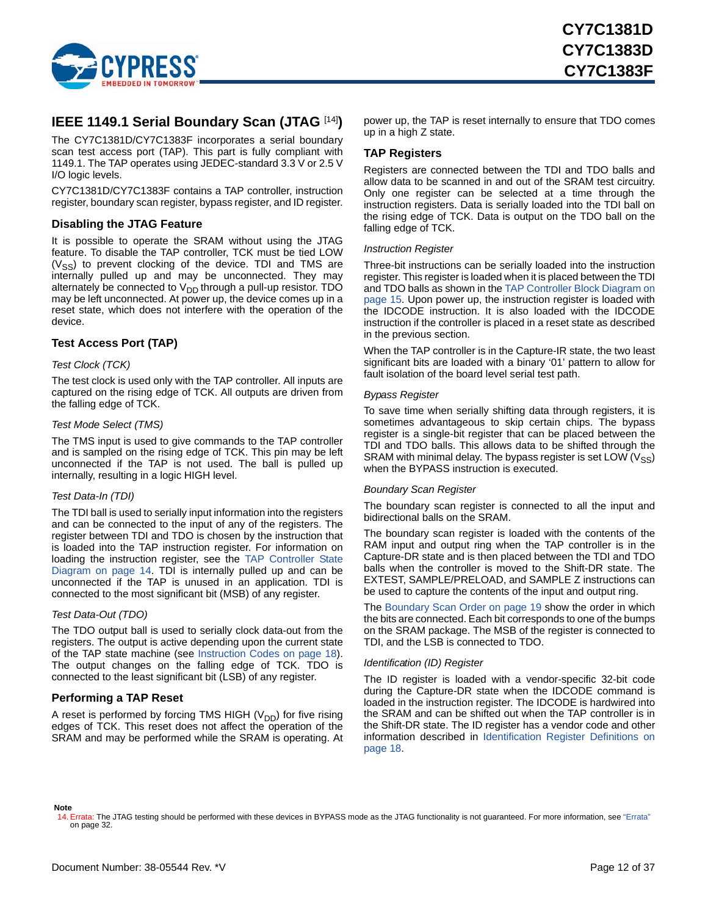

### <span id="page-11-0"></span>**IEEE 1149.1 Serial Boundary Scan (JTAG** [\[14](#page-11-5)]**)**

The CY7C1381D/CY7C1383F incorporates a serial boundary scan test access port (TAP). This part is fully compliant with 1149.1. The TAP operates using JEDEC-standard 3.3 V or 2.5 V I/O logic levels.

CY7C1381D/CY7C1383F contains a TAP controller, instruction register, boundary scan register, bypass register, and ID register.

#### <span id="page-11-1"></span>**Disabling the JTAG Feature**

It is possible to operate the SRAM without using the JTAG feature. To disable the TAP controller, TCK must be tied LOW  $(V_{SS})$  to prevent clocking of the device. TDI and TMS are internally pulled up and may be unconnected. They may alternately be connected to  $V_{DD}$  through a pull-up resistor. TDO may be left unconnected. At power up, the device comes up in a reset state, which does not interfere with the operation of the device.

#### <span id="page-11-2"></span>**Test Access Port (TAP)**

#### *Test Clock (TCK)*

The test clock is used only with the TAP controller. All inputs are captured on the rising edge of TCK. All outputs are driven from the falling edge of TCK.

#### *Test Mode Select (TMS)*

The TMS input is used to give commands to the TAP controller and is sampled on the rising edge of TCK. This pin may be left unconnected if the TAP is not used. The ball is pulled up internally, resulting in a logic HIGH level.

#### *Test Data-In (TDI)*

The TDI ball is used to serially input information into the registers and can be connected to the input of any of the registers. The register between TDI and TDO is chosen by the instruction that is loaded into the TAP instruction register. For information on loading the instruction register, see the [TAP Controller State](#page-13-0) [Diagram on page 14.](#page-13-0) TDI is internally pulled up and can be unconnected if the TAP is unused in an application. TDI is connected to the most significant bit (MSB) of any register.

#### *Test Data-Out (TDO)*

The TDO output ball is used to serially clock data-out from the registers. The output is active depending upon the current state of the TAP state machine (see [Instruction Codes on page 18](#page-17-2)). The output changes on the falling edge of TCK. TDO is connected to the least significant bit (LSB) of any register.

#### <span id="page-11-3"></span>**Performing a TAP Reset**

A reset is performed by forcing TMS HIGH  $(V_{DD})$  for five rising edges of TCK. This reset does not affect the operation of the SRAM and may be performed while the SRAM is operating. At power up, the TAP is reset internally to ensure that TDO comes up in a high Z state.

#### <span id="page-11-4"></span>**TAP Registers**

Registers are connected between the TDI and TDO balls and allow data to be scanned in and out of the SRAM test circuitry. Only one register can be selected at a time through the instruction registers. Data is serially loaded into the TDI ball on the rising edge of TCK. Data is output on the TDO ball on the falling edge of TCK.

#### *Instruction Register*

Three-bit instructions can be serially loaded into the instruction register. This register is loaded when it is placed between the TDI and TDO balls as shown in the [TAP Controller Block Diagram on](#page-14-0) [page 15](#page-14-0). Upon power up, the instruction register is loaded with the IDCODE instruction. It is also loaded with the IDCODE instruction if the controller is placed in a reset state as described in the previous section.

When the TAP controller is in the Capture-IR state, the two least significant bits are loaded with a binary '01' pattern to allow for fault isolation of the board level serial test path.

#### *Bypass Register*

To save time when serially shifting data through registers, it is sometimes advantageous to skip certain chips. The bypass register is a single-bit register that can be placed between the TDI and TDO balls. This allows data to be shifted through the SRAM with minimal delay. The bypass register is set LOW  $(V_{SS})$ when the BYPASS instruction is executed.

#### *Boundary Scan Register*

The boundary scan register is connected to all the input and bidirectional balls on the SRAM.

The boundary scan register is loaded with the contents of the RAM input and output ring when the TAP controller is in the Capture-DR state and is then placed between the TDI and TDO balls when the controller is moved to the Shift-DR state. The EXTEST, SAMPLE/PRELOAD, and SAMPLE Z instructions can be used to capture the contents of the input and output ring.

The [Boundary Scan Order on page 19](#page-18-0) show the order in which the bits are connected. Each bit corresponds to one of the bumps on the SRAM package. The MSB of the register is connected to TDI, and the LSB is connected to TDO.

#### *Identification (ID) Register*

The ID register is loaded with a vendor-specific 32-bit code during the Capture-DR state when the IDCODE command is loaded in the instruction register. The IDCODE is hardwired into the SRAM and can be shifted out when the TAP controller is in the Shift-DR state. The ID register has a vendor code and other information described in [Identification Register Definitions on](#page-17-0) [page 18](#page-17-0).

#### **Note**

<span id="page-11-5"></span><sup>14.</sup> Errata: The JTAG testing should be performed with these devices in BYPASS mode as the JTAG functionality is not guaranteed. For more information, see ["Errata"](#page-31-0)  [on page 32.](#page-31-0)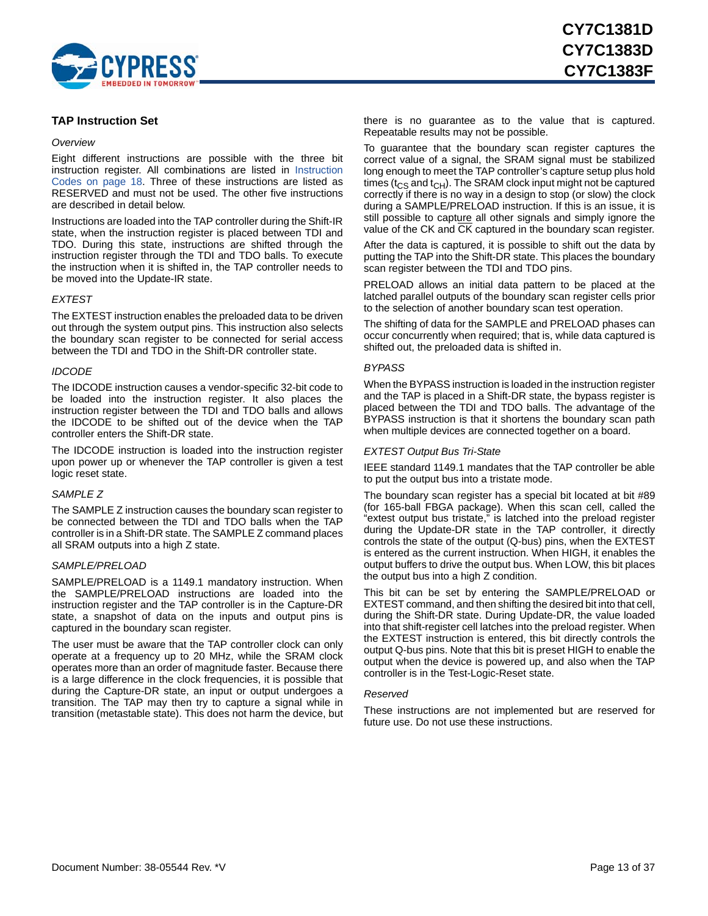

#### <span id="page-12-0"></span>**TAP Instruction Set**

#### <span id="page-12-1"></span>*Overview*

Eight different instructions are possible with the three bit instruction register. All combinations are listed in [Instruction](#page-17-2) [Codes on page 18](#page-17-2). Three of these instructions are listed as RESERVED and must not be used. The other five instructions are described in detail below.

Instructions are loaded into the TAP controller during the Shift-IR state, when the instruction register is placed between TDI and TDO. During this state, instructions are shifted through the instruction register through the TDI and TDO balls. To execute the instruction when it is shifted in, the TAP controller needs to be moved into the Update-IR state.

#### <span id="page-12-2"></span>*EXTEST*

The EXTEST instruction enables the preloaded data to be driven out through the system output pins. This instruction also selects the boundary scan register to be connected for serial access between the TDI and TDO in the Shift-DR controller state.

#### *IDCODE*

The IDCODE instruction causes a vendor-specific 32-bit code to be loaded into the instruction register. It also places the instruction register between the TDI and TDO balls and allows the IDCODE to be shifted out of the device when the TAP controller enters the Shift-DR state.

The IDCODE instruction is loaded into the instruction register upon power up or whenever the TAP controller is given a test logic reset state.

#### *SAMPLE Z*

The SAMPLE Z instruction causes the boundary scan register to be connected between the TDI and TDO balls when the TAP controller is in a Shift-DR state. The SAMPLE Z command places all SRAM outputs into a high Z state.

#### *SAMPLE/PRELOAD*

SAMPLE/PRELOAD is a 1149.1 mandatory instruction. When the SAMPLE/PRELOAD instructions are loaded into the instruction register and the TAP controller is in the Capture-DR state, a snapshot of data on the inputs and output pins is captured in the boundary scan register.

The user must be aware that the TAP controller clock can only operate at a frequency up to 20 MHz, while the SRAM clock operates more than an order of magnitude faster. Because there is a large difference in the clock frequencies, it is possible that during the Capture-DR state, an input or output undergoes a transition. The TAP may then try to capture a signal while in transition (metastable state). This does not harm the device, but there is no guarantee as to the value that is captured. Repeatable results may not be possible.

To guarantee that the boundary scan register captures the correct value of a signal, the SRAM signal must be stabilized long enough to meet the TAP controller's capture setup plus hold times ( $t_{CS}$  and  $t_{CH}$ ). The SRAM clock input might not be captured correctly if there is no way in a design to stop (or slow) the clock during a SAMPLE/PRELOAD instruction. If this is an issue, it is still possible to capture all other signals and simply ignore the value of the CK and CK captured in the boundary scan register.

After the data is captured, it is possible to shift out the data by putting the TAP into the Shift-DR state. This places the boundary scan register between the TDI and TDO pins.

PRELOAD allows an initial data pattern to be placed at the latched parallel outputs of the boundary scan register cells prior to the selection of another boundary scan test operation.

The shifting of data for the SAMPLE and PRELOAD phases can occur concurrently when required; that is, while data captured is shifted out, the preloaded data is shifted in.

#### *BYPASS*

When the BYPASS instruction is loaded in the instruction register and the TAP is placed in a Shift-DR state, the bypass register is placed between the TDI and TDO balls. The advantage of the BYPASS instruction is that it shortens the boundary scan path when multiple devices are connected together on a board.

#### <span id="page-12-3"></span>*EXTEST Output Bus Tri-State*

IEEE standard 1149.1 mandates that the TAP controller be able to put the output bus into a tristate mode.

The boundary scan register has a special bit located at bit #89 (for 165-ball FBGA package). When this scan cell, called the "extest output bus tristate," is latched into the preload register during the Update-DR state in the TAP controller, it directly controls the state of the output (Q-bus) pins, when the EXTEST is entered as the current instruction. When HIGH, it enables the output buffers to drive the output bus. When LOW, this bit places the output bus into a high Z condition.

This bit can be set by entering the SAMPLE/PRELOAD or EXTEST command, and then shifting the desired bit into that cell, during the Shift-DR state. During Update-DR, the value loaded into that shift-register cell latches into the preload register. When the EXTEST instruction is entered, this bit directly controls the output Q-bus pins. Note that this bit is preset HIGH to enable the output when the device is powered up, and also when the TAP controller is in the Test-Logic-Reset state.

#### *Reserved*

These instructions are not implemented but are reserved for future use. Do not use these instructions.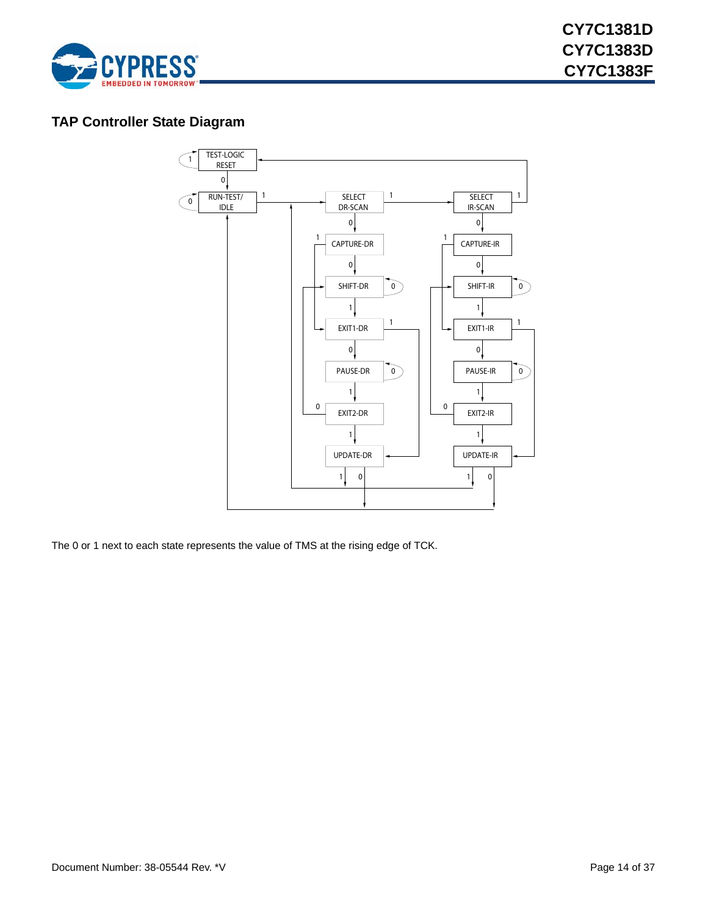

### <span id="page-13-0"></span>**TAP Controller State Diagram**



The 0 or 1 next to each state represents the value of TMS at the rising edge of TCK.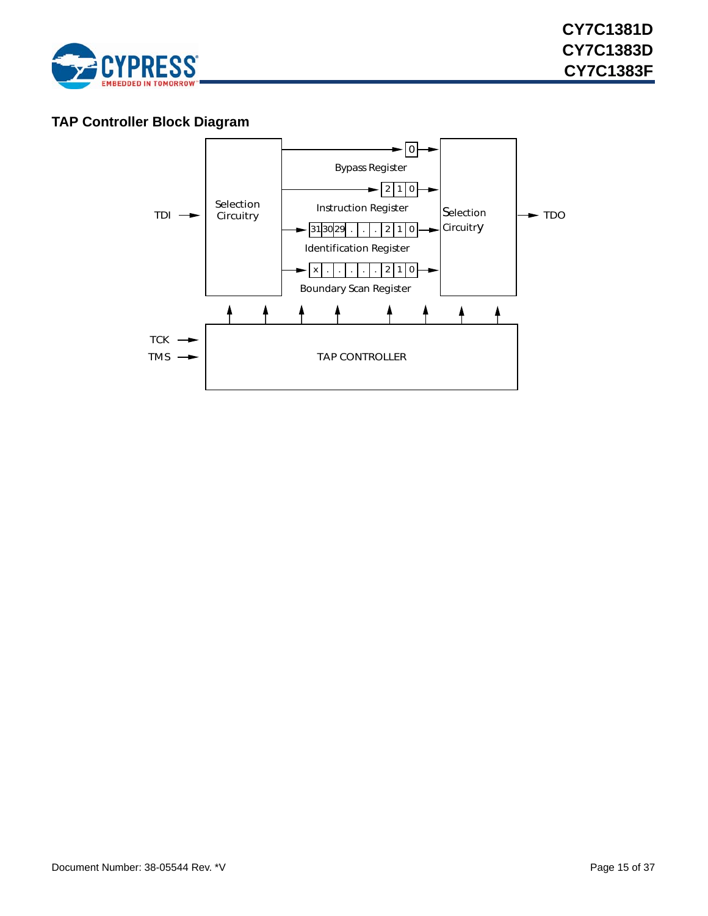

### <span id="page-14-0"></span>**TAP Controller Block Diagram**

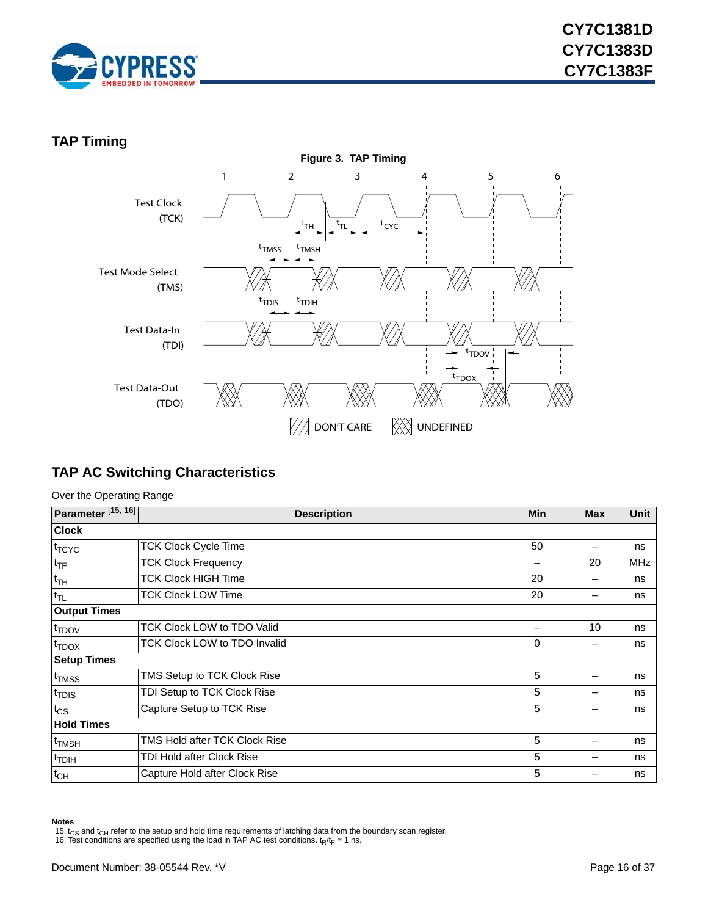

### <span id="page-15-0"></span>**TAP Timing**



### <span id="page-15-1"></span>**TAP AC Switching Characteristics**

Over the Operating Range

| Parameter <sup>[15, 16]</sup> | <b>Description</b>            | Min | <b>Max</b> | <b>Unit</b> |  |  |  |
|-------------------------------|-------------------------------|-----|------------|-------------|--|--|--|
| <b>Clock</b>                  |                               |     |            |             |  |  |  |
| <sup>t</sup> TCYC             | <b>TCK Clock Cycle Time</b>   | 50  |            | ns          |  |  |  |
| $t_{\text{TF}}$               | <b>TCK Clock Frequency</b>    |     | 20         | <b>MHz</b>  |  |  |  |
| $t_{TH}$                      | <b>TCK Clock HIGH Time</b>    | 20  |            | ns          |  |  |  |
| $t_{TL}$                      | <b>TCK Clock LOW Time</b>     | 20  |            | ns          |  |  |  |
| <b>Output Times</b>           |                               |     |            |             |  |  |  |
| t <sub>TDOV</sub>             | TCK Clock LOW to TDO Valid    |     | 10         | ns          |  |  |  |
| $t_{\text{TDOX}}$             | TCK Clock LOW to TDO Invalid  | 0   |            | ns          |  |  |  |
| <b>Setup Times</b>            |                               |     |            |             |  |  |  |
| t <sub>TMSS</sub>             | TMS Setup to TCK Clock Rise   | 5   |            | ns          |  |  |  |
| t <sub>TDIS</sub>             | TDI Setup to TCK Clock Rise   | 5   |            | ns          |  |  |  |
| $t_{\text{CS}}$               | Capture Setup to TCK Rise     | 5   |            | ns          |  |  |  |
| <b>Hold Times</b>             |                               |     |            |             |  |  |  |
| t <sub>TMSH</sub>             | TMS Hold after TCK Clock Rise | 5   |            | ns          |  |  |  |
| t <sub>TDIH</sub>             | TDI Hold after Clock Rise     | 5   |            | ns          |  |  |  |
| $t_{CH}$                      | Capture Hold after Clock Rise | 5   |            | ns          |  |  |  |

#### **Notes**

<span id="page-15-2"></span><sup>15.</sup> t<sub>CS</sub> and t<sub>CH</sub> refer to the setup and hold time requirements of latching data from the boundary scan register.<br>16. Test conditions are specified using the load in TAP AC test conditions. t<sub>R</sub>/t<sub>F</sub> = 1 ns.

<span id="page-15-3"></span>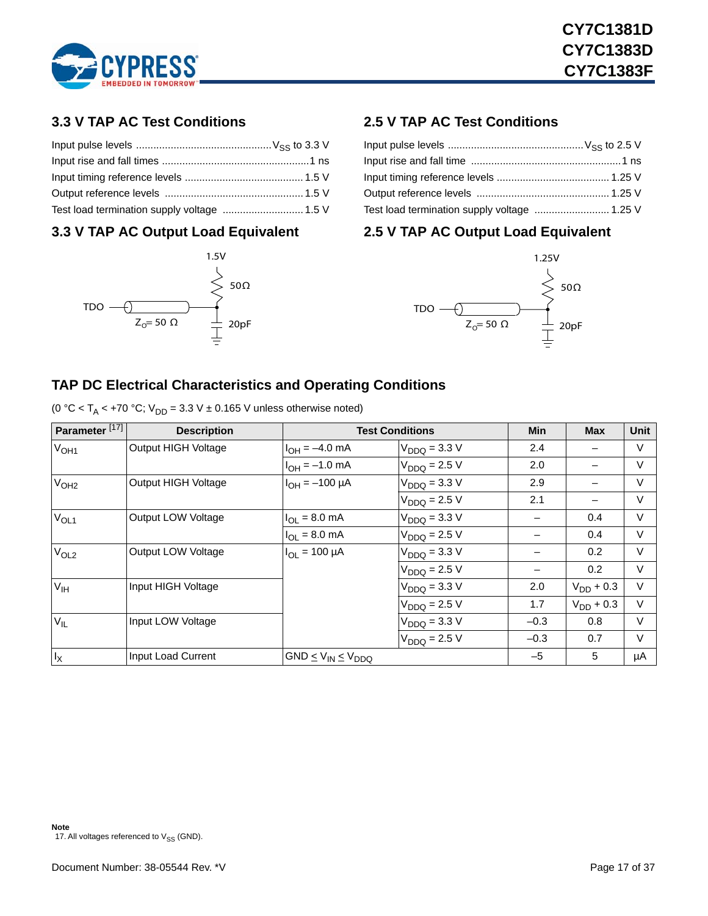

### <span id="page-16-0"></span>**3.3 V TAP AC Test Conditions**

| Test load termination supply voltage  1.5 V |  |
|---------------------------------------------|--|

### <span id="page-16-1"></span>**3.3 V TAP AC Output Load Equivalent**



### <span id="page-16-2"></span>**2.5 V TAP AC Test Conditions**

| Test load termination supply voltage  1.25 V |  |
|----------------------------------------------|--|

### <span id="page-16-3"></span>**2.5 V TAP AC Output Load Equivalent**



### <span id="page-16-4"></span>**TAP DC Electrical Characteristics and Operating Conditions**

|  | (0 °C < T <sub>A</sub> < +70 °C; $V_{DD}$ = 3.3 V ± 0.165 V unless otherwise noted) |  |
|--|-------------------------------------------------------------------------------------|--|
|--|-------------------------------------------------------------------------------------|--|

<span id="page-16-5"></span>

| Parameter <sup>[17]</sup> | <b>Description</b>         |                              | <b>Test Conditions</b> | <b>Min</b> | <b>Max</b>     | Unit   |
|---------------------------|----------------------------|------------------------------|------------------------|------------|----------------|--------|
| V <sub>OH1</sub>          | <b>Output HIGH Voltage</b> | $I_{OH} = -4.0$ mA           | $V_{DDQ} = 3.3 V$      | 2.4        |                | $\vee$ |
|                           |                            | $I_{OH} = -1.0$ mA           | $V_{DDQ} = 2.5 V$      | 2.0        |                | $\vee$ |
| V <sub>OH2</sub>          | Output HIGH Voltage        | $I_{OH} = -100 \mu A$        | $V_{DDQ} = 3.3 V$      | 2.9        |                | $\vee$ |
|                           |                            |                              | $V_{DDQ} = 2.5 V$      | 2.1        | —              | $\vee$ |
| $V_{OL1}$                 | Output LOW Voltage         | $I_{OL} = 8.0$ mA            | $V_{DDO} = 3.3 V$      |            | 0.4            | $\vee$ |
|                           |                            | $I_{OL} = 8.0$ mA            | $V_{DDQ} = 2.5 V$      |            | 0.4            | V      |
| V <sub>OL2</sub>          | Output LOW Voltage         | $I_{\text{OI}} = 100 \mu A$  | $V_{DDQ} = 3.3 V$      |            | 0.2            | $\vee$ |
|                           |                            |                              | $V_{DDQ} = 2.5 V$      |            | 0.2            | $\vee$ |
| V <sub>IH</sub>           | Input HIGH Voltage         |                              | $V_{DDQ} = 3.3 V$      | 2.0        | $V_{DD}$ + 0.3 | $\vee$ |
|                           |                            |                              | $V_{DDQ} = 2.5 V$      | 1.7        | $V_{DD}$ + 0.3 | $\vee$ |
| $V_{IL}$                  | Input LOW Voltage          |                              | $V_{DDQ} = 3.3 V$      | $-0.3$     | 0.8            | $\vee$ |
|                           |                            |                              | $V_{DDQ} = 2.5 V$      | $-0.3$     | 0.7            | V      |
| $I_X$                     | Input Load Current         | $GND \le V_{IN} \le V_{DDQ}$ |                        | $-5$       | 5              | μA     |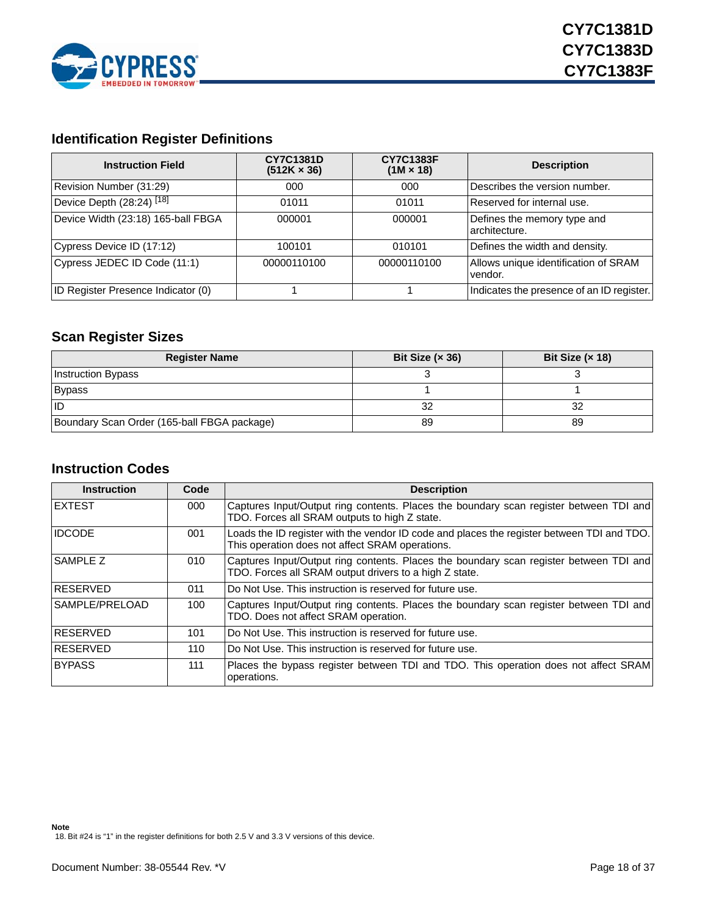

### <span id="page-17-0"></span>**Identification Register Definitions**

| <b>Instruction Field</b>             | <b>CY7C1381D</b><br>$(512K \times 36)$ | <b>CY7C1383F</b><br>$(1M \times 18)$ | <b>Description</b>                              |
|--------------------------------------|----------------------------------------|--------------------------------------|-------------------------------------------------|
| Revision Number (31:29)              | 000                                    | 000                                  | Describes the version number.                   |
| Device Depth (28:24) <sup>[18]</sup> | 01011                                  | 01011                                | Reserved for internal use.                      |
| Device Width (23:18) 165-ball FBGA   | 000001                                 | 000001                               | Defines the memory type and<br>architecture.    |
| Cypress Device ID (17:12)            | 100101                                 | 010101                               | Defines the width and density.                  |
| Cypress JEDEC ID Code (11:1)         | 00000110100                            | 00000110100                          | Allows unique identification of SRAM<br>vendor. |
| ID Register Presence Indicator (0)   |                                        |                                      | Indicates the presence of an ID register.       |

### <span id="page-17-1"></span>**Scan Register Sizes**

| <b>Register Name</b>                        | Bit Size $(x 36)$ | Bit Size $(x 18)$ |
|---------------------------------------------|-------------------|-------------------|
| <b>Instruction Bypass</b>                   |                   |                   |
| Bypass                                      |                   |                   |
| ПD                                          | 32                | 32                |
| Boundary Scan Order (165-ball FBGA package) | 89                | 89                |

### <span id="page-17-2"></span>**Instruction Codes**

| <b>Instruction</b> | Code | <b>Description</b>                                                                                                                               |
|--------------------|------|--------------------------------------------------------------------------------------------------------------------------------------------------|
| <b>IEXTEST</b>     | 000  | Captures Input/Output ring contents. Places the boundary scan register between TDI and<br>TDO. Forces all SRAM outputs to high Z state.          |
| <b>IDCODE</b>      | 001  | Loads the ID register with the vendor ID code and places the register between TDI and TDO.<br>This operation does not affect SRAM operations.    |
| SAMPLE Z           | 010  | Captures Input/Output ring contents. Places the boundary scan register between TDI and<br>TDO. Forces all SRAM output drivers to a high Z state. |
| <b>IRESERVED</b>   | 011  | Do Not Use. This instruction is reserved for future use.                                                                                         |
| SAMPLE/PRELOAD     | 100  | Captures Input/Output ring contents. Places the boundary scan register between TDI and<br>TDO. Does not affect SRAM operation.                   |
| <b>IRESERVED</b>   | 101  | Do Not Use. This instruction is reserved for future use.                                                                                         |
| <b>IRESERVED</b>   | 110  | IDo Not Use. This instruction is reserved for future use.                                                                                        |
| <b>BYPASS</b>      | 111  | Places the bypass register between TDI and TDO. This operation does not affect SRAM<br>operations.                                               |

<span id="page-17-3"></span>**Note** 18. Bit #24 is "1" in the register definitions for both 2.5 V and 3.3 V versions of this device.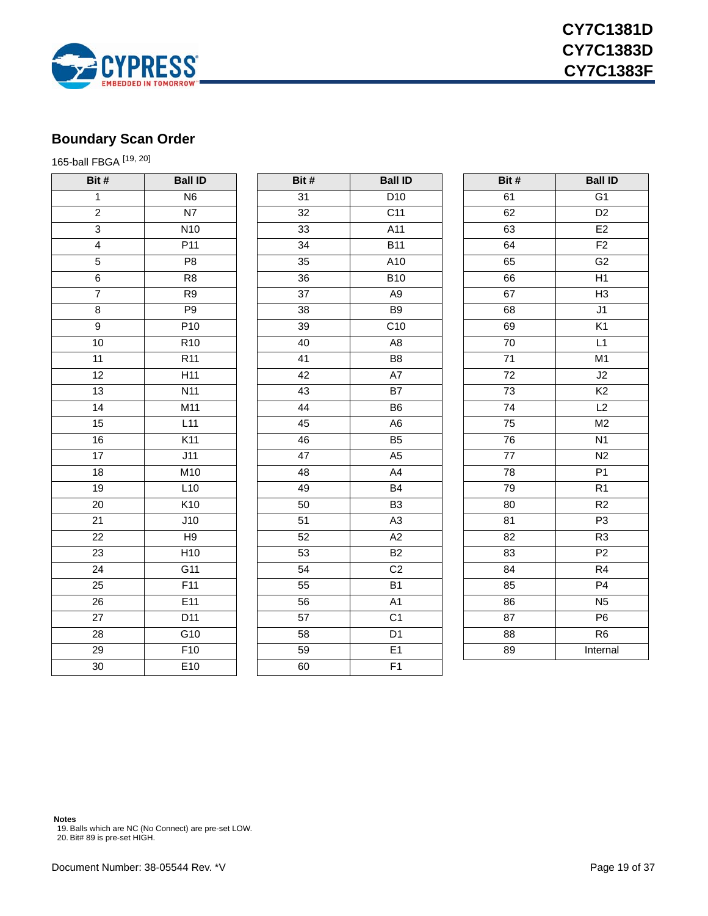

### <span id="page-18-0"></span>**Boundary Scan Order**

165-ball FBGA [\[19](#page-18-1), [20](#page-18-2)]

| Bit #           | <b>Ball ID</b>   | Bit # | <b>Ball ID</b>  | Bit #            | <b>Ball ID</b>  |
|-----------------|------------------|-------|-----------------|------------------|-----------------|
| $\overline{1}$  | N <sub>6</sub>   | 31    | D <sub>10</sub> | 61               | $\overline{G1}$ |
| $\overline{2}$  | N7               | 32    | C <sub>11</sub> | 62               | D <sub>2</sub>  |
| $\overline{3}$  | N <sub>10</sub>  | 33    | A11             | 63               | E <sub>2</sub>  |
| $\overline{4}$  | P <sub>11</sub>  | 34    | <b>B11</b>      | 64               | F <sub>2</sub>  |
| $\overline{5}$  | P <sub>8</sub>   | 35    | A10             | 65               | G <sub>2</sub>  |
| $\overline{6}$  | R <sub>8</sub>   | 36    | <b>B10</b>      | 66               | H1              |
| $\overline{7}$  | R <sub>9</sub>   | 37    | A <sub>9</sub>  | 67               | H <sub>3</sub>  |
| 8               | P9               | 38    | B <sub>9</sub>  | 68               | $\overline{J1}$ |
| $\overline{9}$  | P <sub>10</sub>  | 39    | C <sub>10</sub> | 69               | K <sub>1</sub>  |
| $\overline{10}$ | R <sub>10</sub>  | 40    | A <sub>8</sub>  | $\overline{70}$  | L1              |
| $\overline{11}$ | R11              | 41    | B8              | $\overline{71}$  | M1              |
| $\overline{12}$ | H11              | 42    | A7              | 72               | J2              |
| 13              | N11              | 43    | $\overline{B7}$ | $\overline{73}$  | K <sub>2</sub>  |
| $\overline{14}$ | M11              | 44    | B <sub>6</sub>  | $\overline{7}$ 4 | L2              |
| $\overline{15}$ | L11              | 45    | A <sub>6</sub>  | $\overline{75}$  | M2              |
| 16              | K11              | 46    | B5              | 76               | N1              |
| $\overline{17}$ | J11              | 47    | A <sub>5</sub>  | 77               | N2              |
| $\overline{18}$ | M10              | 48    | A4              | 78               | P1              |
| $\overline{19}$ | L10              | 49    | <b>B4</b>       | 79               | R1              |
| $\overline{20}$ | K10              | 50    | B <sub>3</sub>  | 80               | R2              |
| 21              | $\overline{J10}$ | 51    | A <sub>3</sub>  | 81               | P3              |
| 22              | H <sub>9</sub>   | 52    | A2              | 82               | R <sub>3</sub>  |
| 23              | H <sub>10</sub>  | 53    | <b>B2</b>       | 83               | P <sub>2</sub>  |
| 24              | G11              | 54    | C <sub>2</sub>  | 84               | R <sub>4</sub>  |
| 25              | F11              | 55    | <b>B1</b>       | 85               | P <sub>4</sub>  |
| $\overline{26}$ | E11              | 56    | A1              | 86               | N <sub>5</sub>  |
| 27              | D11              | 57    | C <sub>1</sub>  | 87               | P <sub>6</sub>  |
| 28              | G10              | 58    | D <sub>1</sub>  | 88               | R <sub>6</sub>  |
| $\overline{29}$ | $\overline{F10}$ | 59    | E1              | 89               | Internal        |
| 30              | E10              | 60    | F1              |                  |                 |
|                 |                  |       |                 |                  |                 |

<span id="page-18-2"></span><span id="page-18-1"></span>**Notes** 19. Balls which are NC (No Connect) are pre-set LOW. 20. Bit# 89 is pre-set HIGH.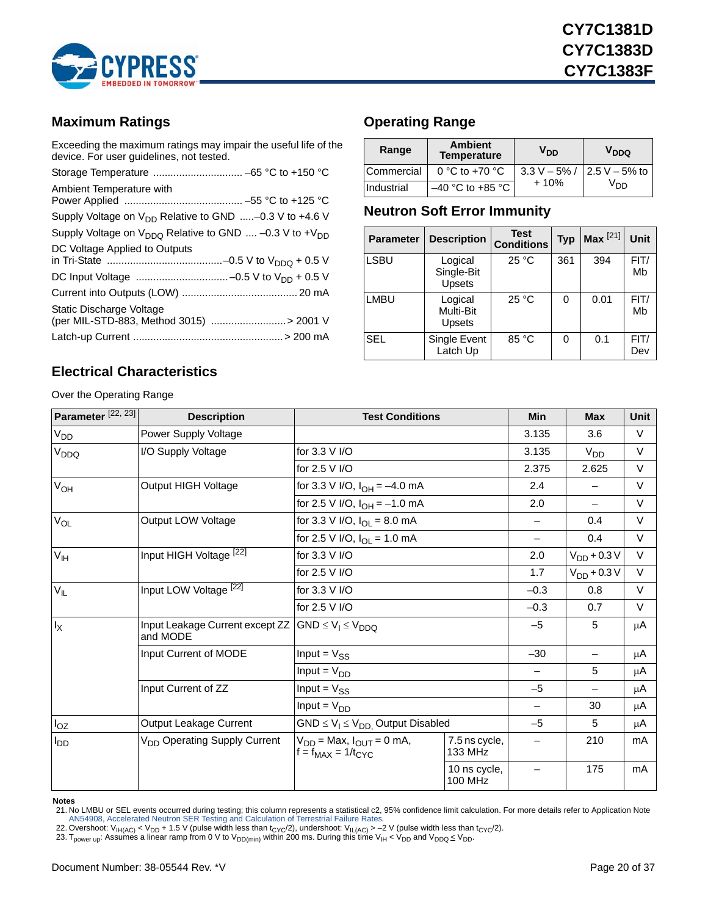

### <span id="page-19-0"></span>**Maximum Ratings**

Exceeding the maximum ratings may impair the useful life of the device. For user guidelines, not tested.

| Ambient Temperature with                                             |
|----------------------------------------------------------------------|
| Supply Voltage on $V_{DD}$ Relative to GND  -0.3 V to +4.6 V         |
| Supply Voltage on $V_{DDO}$ Relative to GND  -0.3 V to + $V_{DD}$    |
| DC Voltage Applied to Outputs                                        |
|                                                                      |
|                                                                      |
| Static Discharge Voltage<br>(per MIL-STD-883, Method 3015)  > 2001 V |
|                                                                      |

### <span id="page-19-1"></span>**Operating Range**

| Range      | <b>Ambient</b><br><b>Temperature</b> | V <sub>DD</sub> | V <sub>DDQ</sub> |
|------------|--------------------------------------|-----------------|------------------|
| Commercial | 0 °C to +70 $\degree$ C              | $3.3 V - 5\%$ / | $2.5 V - 5%$ to  |
| Industrial | $-40$ °C to +85 °C                   | $+10%$          | Vnn              |

### <span id="page-19-2"></span>**Neutron Soft Error Immunity**

| <b>Parameter</b> | <b>Description</b>                     | Test<br><b>Conditions</b> | <b>Typ</b> | Max <sup>[21]</sup> | <b>Unit</b> |
|------------------|----------------------------------------|---------------------------|------------|---------------------|-------------|
| <b>LSBU</b>      | Logical<br>Single-Bit<br><b>Upsets</b> | 25 °C                     | 361        | 394                 | FIT/<br>Mb  |
| <b>LMBU</b>      | Logical<br>Multi-Bit<br><b>Upsets</b>  | 25 °C                     | 0          | 0.01                | FIT/<br>Mb  |
| <b>SEL</b>       | Single Event<br>Latch Up               | 85 °C                     | 0          | 0.1                 | FIT/<br>Dev |

### <span id="page-19-3"></span>**Electrical Characteristics**

Over the Operating Range

| Parameter <sup>[22, 23]</sup> | <b>Description</b>                                                     | <b>Test Conditions</b>                                         |                          | <b>Min</b>               | <b>Max</b>               | Unit   |
|-------------------------------|------------------------------------------------------------------------|----------------------------------------------------------------|--------------------------|--------------------------|--------------------------|--------|
| V <sub>DD</sub>               | Power Supply Voltage                                                   |                                                                |                          | 3.135                    | 3.6                      | $\vee$ |
| V <sub>DDQ</sub>              | I/O Supply Voltage                                                     | for 3.3 V I/O                                                  |                          | 3.135                    | V <sub>DD</sub>          | $\vee$ |
|                               |                                                                        | for 2.5 V I/O                                                  |                          | 2.375                    | 2.625                    | $\vee$ |
| $V_{OH}$                      | Output HIGH Voltage                                                    | for 3.3 V I/O, $I_{OH} = -4.0$ mA                              |                          | 2.4                      |                          | $\vee$ |
|                               |                                                                        | for 2.5 V I/O, $I_{OH} = -1.0$ mA                              |                          | 2.0                      | —                        | $\vee$ |
| $V_{OL}$                      | Output LOW Voltage                                                     | for 3.3 V I/O, $I_{\text{OI}} = 8.0 \text{ mA}$                |                          |                          | 0.4                      | $\vee$ |
|                               |                                                                        | for 2.5 V I/O, $I_{OL} = 1.0$ mA                               |                          | $\qquad \qquad -$        | 0.4                      | $\vee$ |
| $V_{\text{IH}}$               | Input HIGH Voltage [22]                                                | for 3.3 V I/O                                                  |                          | 2.0                      | $V_{DD}$ + 0.3 V         | $\vee$ |
|                               |                                                                        | for 2.5 V I/O                                                  | 1.7                      | $V_{DD}$ + 0.3 V         | $\vee$                   |        |
| $V_{IL}$                      | Input LOW Voltage [22]                                                 | for 3.3 V I/O                                                  |                          | $-0.3$                   | 0.8                      | $\vee$ |
|                               |                                                                        | for 2.5 V I/O                                                  | $-0.3$                   | 0.7                      | $\vee$                   |        |
| $I_X$                         | Input Leakage Current except ZZ $ GND \le V_1 \le V_{DDO}$<br>and MODE |                                                                |                          | $-5$                     | 5                        | μA     |
|                               | Input Current of MODE                                                  | Input = $V_{SS}$                                               |                          | $-30$                    | $\overline{\phantom{0}}$ | μA     |
|                               |                                                                        | Input = $V_{DD}$                                               |                          |                          | 5                        | μA     |
|                               | Input Current of ZZ                                                    | Input = $V_{SS}$                                               |                          | $-5$                     | —                        | μA     |
|                               |                                                                        | Input = $V_{DD}$                                               |                          |                          | 30                       | μA     |
| $I_{OZ}$                      | Output Leakage Current                                                 | $GND \leq V_1 \leq V_{DD}$ Output Disabled                     |                          | $-5$                     | 5                        | μA     |
| $I_{DD}$                      | V <sub>DD</sub> Operating Supply Current                               | $V_{DD}$ = Max, $I_{OUT}$ = 0 mA,<br>$f = f_{MAX} = 1/t_{CYC}$ | 7.5 ns cycle,<br>133 MHz | $\overline{\phantom{0}}$ | 210                      | mA     |
|                               |                                                                        |                                                                | 10 ns cycle,<br>100 MHz  |                          | 175                      | mA     |

**Notes**

<span id="page-19-6"></span><sup>21.</sup> No LMBU or SEL events occurred during testing; this column represents a statistical c2, 95% confidence limit calculation. For more details refer to Application Note<br>- AN54908, Accelerated Neutron SER Testing and Calcu

<span id="page-19-4"></span>

<span id="page-19-5"></span>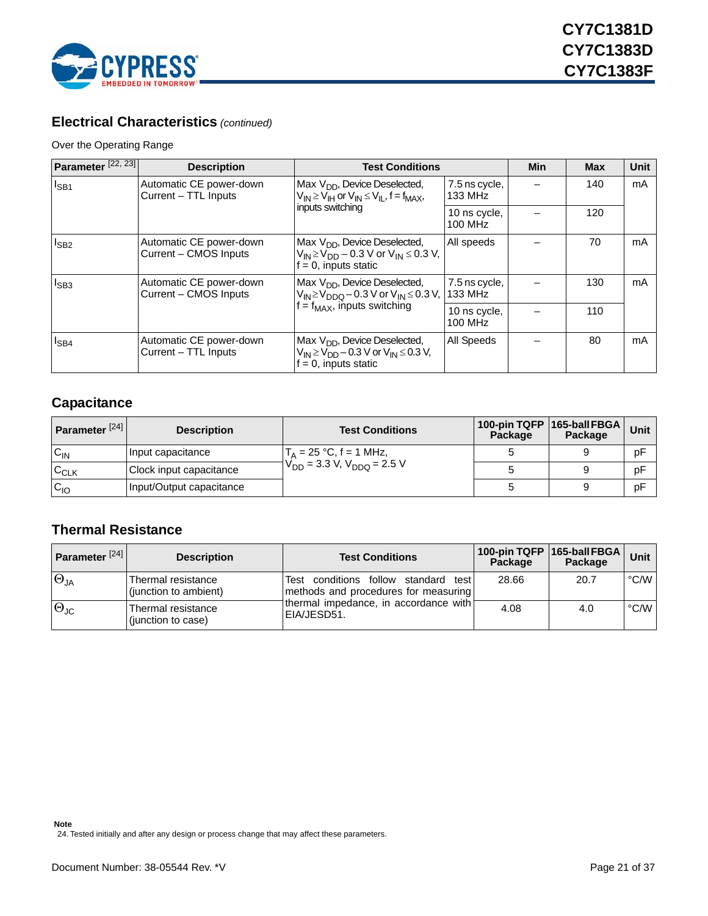

### **Electrical Characteristics** *(continued)*

#### Over the Operating Range

| Parameter <sup>[22, 23]</sup> | <b>Description</b>                               | <b>Test Conditions</b>                                                                                              |                                | <b>Min</b> | <b>Max</b> | <b>Unit</b> |
|-------------------------------|--------------------------------------------------|---------------------------------------------------------------------------------------------------------------------|--------------------------------|------------|------------|-------------|
| $I_{SB1}$                     | Automatic CE power-down<br>Current - TTL Inputs  | Max V <sub>DD</sub> , Device Deselected,<br>$V_{IN} \geq V_{IH}$ or $V_{IN} \leq V_{IL}$ , f = f <sub>MAX</sub> ,   | 7.5 ns cycle,<br>133 MHz       |            | 140        | mA          |
|                               |                                                  | inputs switching                                                                                                    | 10 ns cycle,<br>100 MHz        |            | 120        |             |
| $I_{SB2}$                     | Automatic CE power-down<br>Current – CMOS Inputs | Max $V_{DD}$ , Device Deselected,<br>$V_{IN}$ ≥ $V_{DD}$ – 0.3 V or $V_{IN}$ ≤ 0.3 V,<br>$f = 0$ , inputs static    | All speeds                     |            | 70         | mA          |
| $I_{SB3}$                     | Automatic CE power-down<br>Current - CMOS Inputs | Max $V_{DD}$ , Device Deselected,<br>$V_{IN}$ ≥ $V_{DDO}$ – 0.3 V or $V_{IN}$ ≤ 0.3 V,                              | 7.5 ns cycle,<br>133 MHz       |            | 130        | mA          |
|                               |                                                  | $f = f_{MAX}$ , inputs switching                                                                                    | 10 ns cycle,<br><b>100 MHz</b> |            | 110        |             |
| $I_{SB4}$                     | Automatic CE power-down<br>Current - TTL Inputs  | Max $V_{DD}$ , Device Deselected,<br>$V_{IN} \ge V_{DD} - 0.3 V$ or $V_{IN} \le 0.3 V$ ,<br>$f = 0$ , inputs static | All Speeds                     |            | 80         | mA          |

### <span id="page-20-0"></span>**Capacitance**

| Parameter <sup>[24]</sup> | <b>Description</b>       | <b>Test Conditions</b>              | Package | 100-pin TQFP   165-ball FBGA  <br>Package | Unit |
|---------------------------|--------------------------|-------------------------------------|---------|-------------------------------------------|------|
| $C_{IN}$                  | Input capacitance        | $T_A = 25 °C$ , f = 1 MHz,          |         |                                           | рF   |
| $C_{CLK}$                 | Clock input capacitance  | $V_{DD}$ = 3.3 V, $V_{DDQ}$ = 2.5 V |         |                                           | рF   |
| $C_{10}$                  | Input/Output capacitance |                                     |         |                                           | рF   |

### <span id="page-20-1"></span>**Thermal Resistance**

<span id="page-20-2"></span>

| Parameter $[24]$       | <b>Description</b>                                 | <b>Test Conditions</b>                                                       | Package | 100-pin TQFP 165-ball FBGA<br>Package | Unit          |
|------------------------|----------------------------------------------------|------------------------------------------------------------------------------|---------|---------------------------------------|---------------|
| $\Theta_{JA}$          | <b>Thermal resistance</b><br>(junction to ambient) | Test conditions follow standard test<br>methods and procedures for measuring | 28.66   | 20.7                                  | $\degree$ C/W |
| $ \Theta_{\text{JC}} $ | Thermal resistance<br>(junction to case)           | thermal impedance, in accordance with<br>IEIA/JESD51.                        | 4.08    | 4.0                                   | $\degree$ C/W |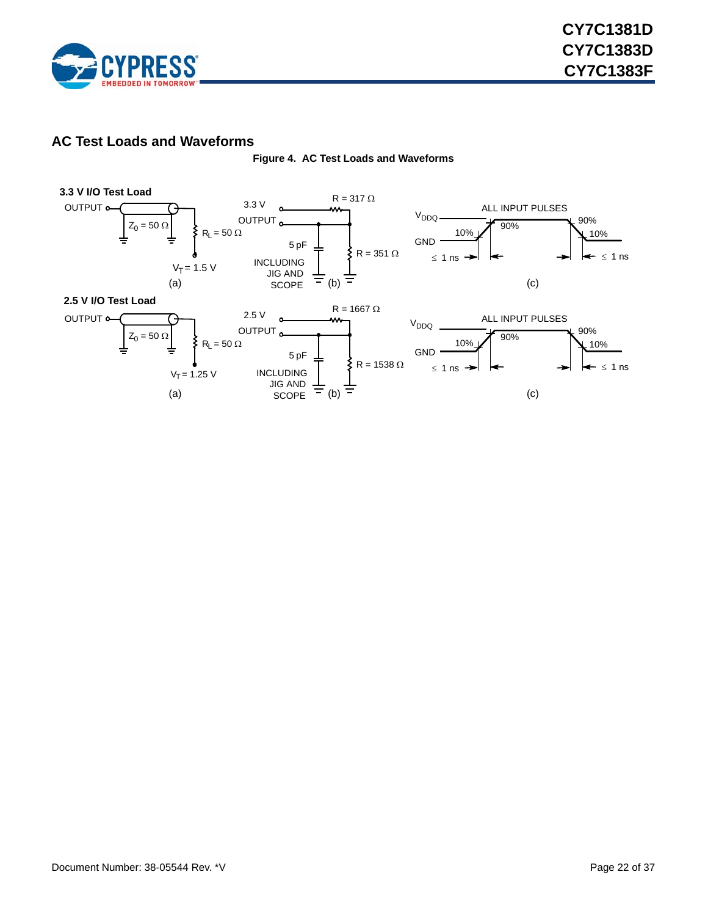

### <span id="page-21-1"></span><span id="page-21-0"></span>**AC Test Loads and Waveforms**



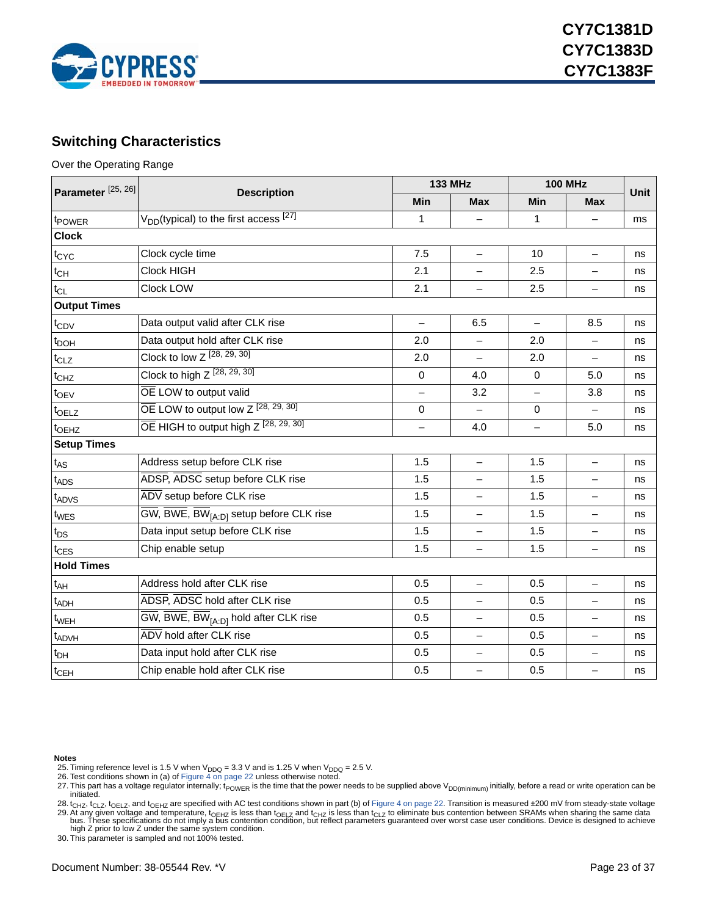

### <span id="page-22-0"></span>**Switching Characteristics**

Over the Operating Range

| Parameter <sup>[25, 26]</sup> |                                                                  |          | <b>133 MHz</b>           |            | <b>100 MHz</b>           |             |
|-------------------------------|------------------------------------------------------------------|----------|--------------------------|------------|--------------------------|-------------|
|                               | <b>Description</b>                                               | Min      | <b>Max</b>               | <b>Min</b> | <b>Max</b>               | <b>Unit</b> |
| t <sub>POWER</sub>            | $V_{DD}$ (typical) to the first access $\sqrt{27}$               | 1        |                          | 1          | $\overline{\phantom{0}}$ | ms          |
| <b>Clock</b>                  |                                                                  |          |                          |            |                          |             |
| t <sub>CYC</sub>              | Clock cycle time                                                 | 7.5      | $\overline{\phantom{0}}$ | 10         | $\overline{\phantom{0}}$ | ns          |
| $t_{\mathsf{CH}}$             | Clock HIGH                                                       | 2.1      |                          | 2.5        | $\overline{\phantom{0}}$ | ns          |
| $t_{CL}$                      | Clock LOW                                                        | 2.1      | $\qquad \qquad -$        | 2.5        | —                        | ns          |
| <b>Output Times</b>           |                                                                  |          |                          |            |                          |             |
| $t_{CDV}$                     | Data output valid after CLK rise                                 |          | 6.5                      |            | 8.5                      | ns          |
| t <sub>DOH</sub>              | Data output hold after CLK rise                                  | 2.0      | $\qquad \qquad -$        | 2.0        | $\overline{\phantom{0}}$ | ns          |
| $t_{CLZ}$                     | Clock to low Z [28, 29, 30]                                      | 2.0      |                          | 2.0        |                          | ns          |
| t <sub>CHZ</sub>              | Clock to high $Z$ $[28, 29, 30]$                                 | $\Omega$ | 4.0                      | $\Omega$   | 5.0                      | ns          |
| $t_{\text{OEV}}$              | OE LOW to output valid                                           |          | 3.2                      |            | 3.8                      | ns          |
| t <sub>OELZ</sub>             | $\overline{OE}$ LOW to output low $Z$ <sup>[28, 29, 30]</sup>    | 0        | $\overline{\phantom{0}}$ | 0          | $\equiv$                 | ns          |
| t <sub>OEHZ</sub>             | $\overline{OE}$ HIGH to output high $Z$ [28, 29, 30]             | $\equiv$ | 4.0                      | $\equiv$   | 5.0                      | ns          |
| <b>Setup Times</b>            |                                                                  |          |                          |            |                          |             |
| $t_{AS}$                      | Address setup before CLK rise                                    | 1.5      | $\overline{\phantom{0}}$ | 1.5        | $\overline{\phantom{0}}$ | ns          |
| $t_{\text{ADS}}$              | ADSP, ADSC setup before CLK rise                                 | 1.5      |                          | 1.5        |                          | ns          |
| t <sub>ADVS</sub>             | ADV setup before CLK rise                                        | 1.5      |                          | 1.5        | $\overline{\phantom{0}}$ | ns          |
| t <sub>WES</sub>              | $\overline{GW}$ , BWE, BW <sub>[A:D]</sub> setup before CLK rise | 1.5      |                          | 1.5        | $\overline{\phantom{0}}$ | ns          |
| $t_{DS}$                      | Data input setup before CLK rise                                 | 1.5      |                          | 1.5        | $\overline{\phantom{0}}$ | ns          |
| $t_{\text{CES}}$              | Chip enable setup                                                | 1.5      |                          | 1.5        | $\overline{\phantom{0}}$ | ns          |
| <b>Hold Times</b>             |                                                                  |          |                          |            |                          |             |
| $t_{AH}$                      | Address hold after CLK rise                                      | 0.5      | $\overline{\phantom{0}}$ | 0.5        | $\overline{\phantom{0}}$ | ns          |
| t <sub>ADH</sub>              | ADSP, ADSC hold after CLK rise                                   | 0.5      |                          | 0.5        | $\equiv$                 | ns          |
| $t_{WEH}$                     | $\overline{GW}$ , BWE, BW <sub>[A:D]</sub> hold after CLK rise   | 0.5      | $\overline{\phantom{0}}$ | 0.5        | $\overline{\phantom{0}}$ | ns          |
| t <sub>ADVH</sub>             | ADV hold after CLK rise                                          | 0.5      |                          | 0.5        | $\overline{\phantom{0}}$ | ns          |
| t <sub>DH</sub>               | Data input hold after CLK rise                                   | 0.5      |                          | 0.5        | $\overline{\phantom{0}}$ | ns          |
| $t_{\text{CEH}}$              | Chip enable hold after CLK rise                                  | 0.5      |                          | 0.5        | $\overline{\phantom{0}}$ | ns          |

**Notes**

<span id="page-22-1"></span>

<span id="page-22-3"></span><span id="page-22-2"></span>

25. Timing reference level is 1.5 V when V<sub>DDQ</sub> = 3.3 V and is 1.25 V when V<sub>DDQ</sub> = 2.5 V.<br>26. Test conditions shown in (a) of [Figure 4 on page 22](#page-21-1) unless otherwise noted.<br>27. This part has a voltage regulator internally; t initiated.

<span id="page-22-5"></span><span id="page-22-4"></span>28. t<sub>CHZ</sub>, t<sub>OELZ</sub>, t<sub>OELZ</sub>, and t<sub>OEHZ</sub> are specified with AC test conditions shown in part (b) of [Figure 4 on page 22](#page-21-1). Transition is measured ±200 mV from steady-state voltage 29. At any given voltage and temperature, t<sub>OEHZ</sub> is less than t<sub>OELZ</sub> and t<sub>CHZ</sub> is less than t<sub>CLZ</sub> to eliminate bus contention between SRAMs when sharing the same data<br>bus. These specifications do not imply a bus conten

high Z prior to low Z under the same system condition. 30. This parameter is sampled and not 100% tested.

<span id="page-22-6"></span>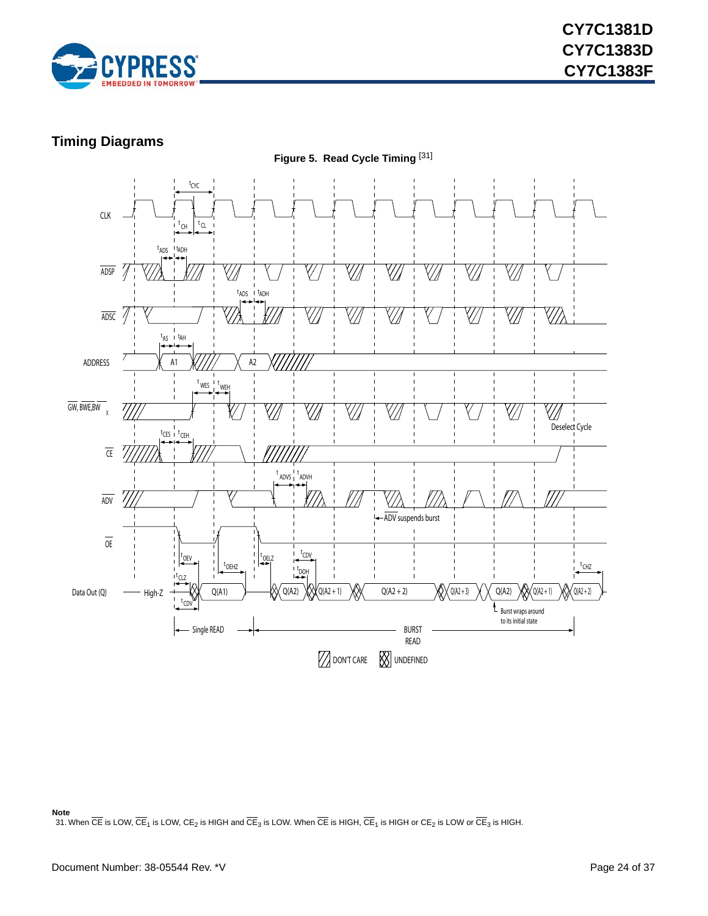

### <span id="page-23-0"></span>**Timing Diagrams**



#### **Note**

<span id="page-23-1"></span>31. When  $\overline{\text{CE}}$  is LOW,  $\overline{\text{CE}}_1$  is LOW, CE<sub>2</sub> is HIGH and  $\overline{\text{CE}}_3$  is LOW. When  $\overline{\text{CE}}$  is HIGH,  $\overline{\text{CE}}_1$  is HIGH or CE<sub>2</sub> is LOW or  $\overline{\text{CE}}_3$  is HIGH.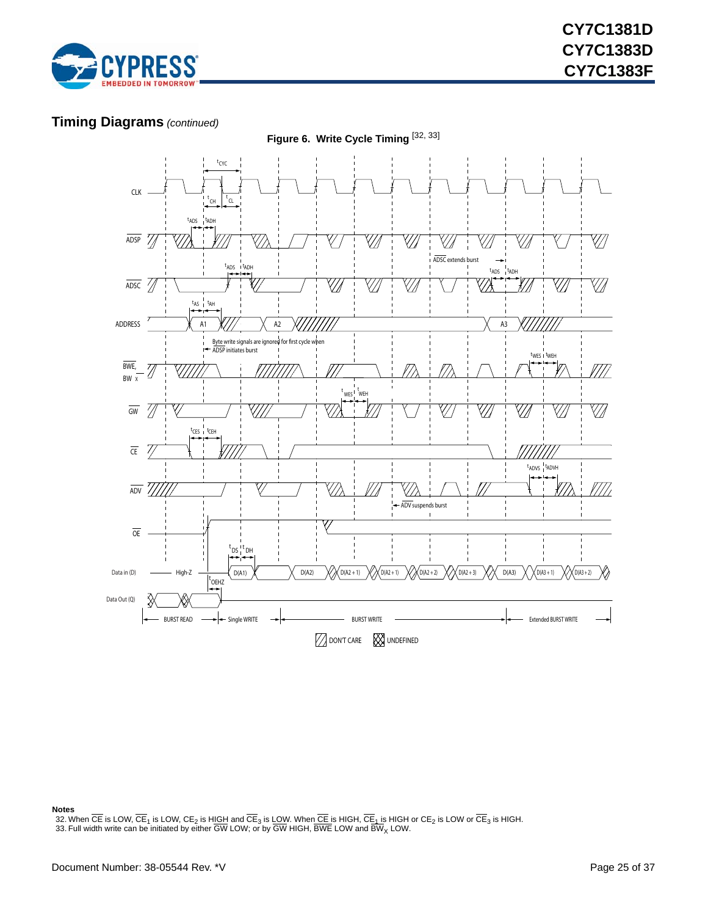

### **Timing Diagrams** *(continued)*



**Notes**

<span id="page-24-0"></span>32. When CE is LOW, CE<sub>1</sub> is LOW, CE<sub>2</sub> is H<u>IGH</u> and CE<sub>3</sub> is <u>LOW</u>. When <u>CE i</u>s HIGH, CE<sub>1</sub> is HIGH or CE<sub>2</sub> is LOW or CE<sub>3</sub> is HIGH.<br>33. Full width write can be initiated by either GW LOW; or by GW HIGH, BWE LOW and BW

<span id="page-24-1"></span>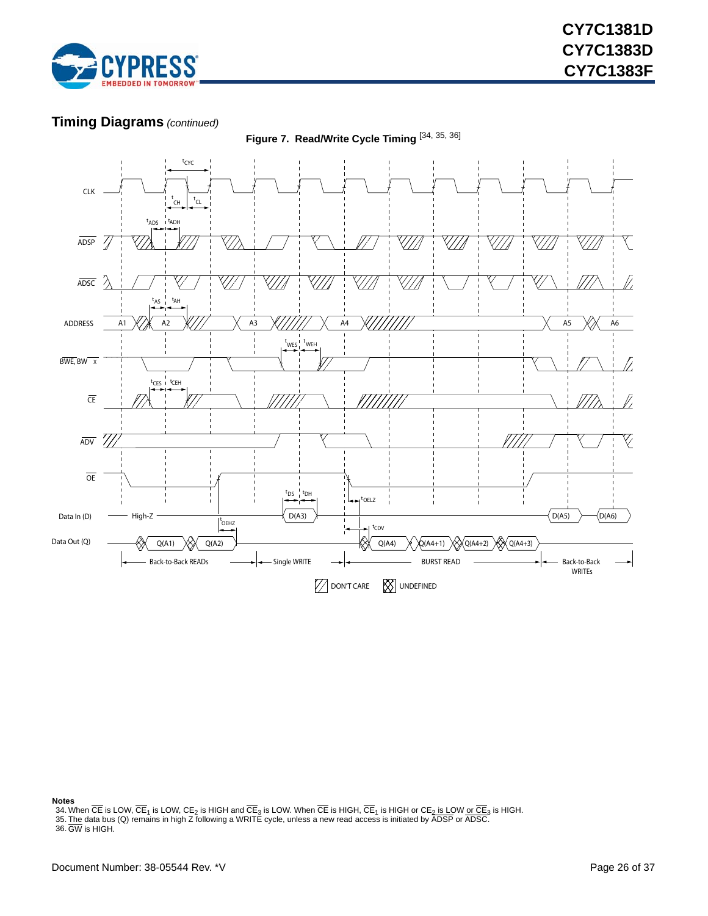

### **Timing Diagrams** *(continued)*



**Figure 7. Read/Write Cycle Timing** [[34,](#page-25-0) [35,](#page-25-1) [36\]](#page-25-2)

**Notes**

<span id="page-25-0"></span>

<span id="page-25-2"></span><span id="page-25-1"></span>34. When CE is LOW, CE<sub>1</sub> is LOW, CE<sub>2</sub> is HIGH and CE<sub>3</sub> is LOW. When CE is HIGH, CE<sub>1</sub> is HIGH or CE<u>2 is LOW or CE<sub>3</sub> is HIGH.</u><br>35. <u>The</u> data bus (Q) remains in high Z following a WRITE cycle, unless a new read access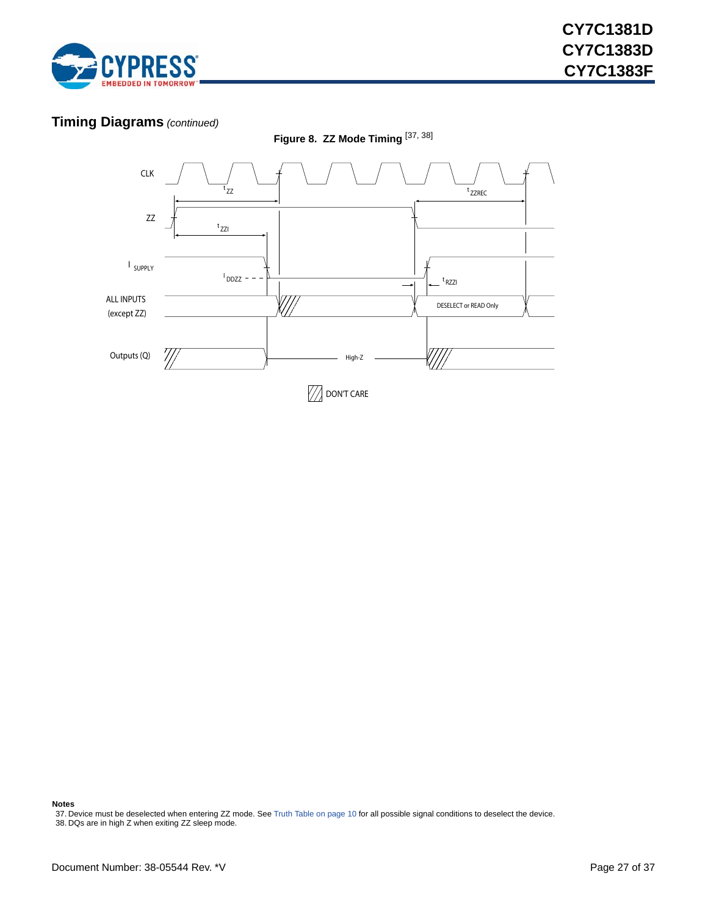

### **Timing Diagrams** *(continued)*



**Notes**

<span id="page-26-0"></span>37. Device must be deselected when entering ZZ mode. See [Truth Table on page 10](#page-9-0) for all possible signal conditions to deselect the device. 38. DQs are in high Z when exiting ZZ sleep mode.

<span id="page-26-1"></span>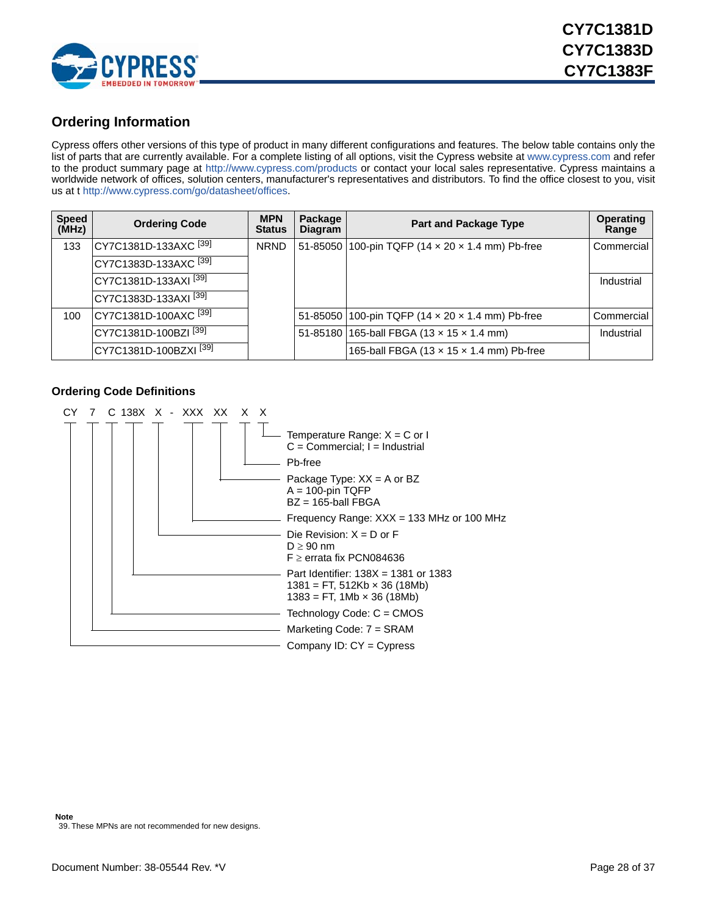

### <span id="page-27-0"></span>**Ordering Information**

[Cypress offers other versions of this type of product in many different configurations and features. The below table contains only the](www.cypress.com) [list of parts that are currently available. For a complete listing of all options, visit the Cypress website at](www.cypress.com) www.cypress.com and refer to the product summary page at http://www.cypress.com/product[s or contact your local sales representative. Cypress maintains a](http://www.cypress.com/go/datasheet/offices) [worldwide network of offices, solution centers, manufacturer's representatives and distributors. To find the office closest to you, visit](http://www.cypress.com/go/datasheet/offices) [us at t h](http://www.cypress.com/go/datasheet/offices)ttp://www.cypress.com/go/datasheet/offices.

| <b>Speed</b><br>(MHz) | <b>Ordering Code</b>              | <b>MPN</b><br><b>Status</b> | Package<br><b>Diagram</b> | <b>Part and Package Type</b>                           | <b>Operating</b><br>Range |
|-----------------------|-----------------------------------|-----------------------------|---------------------------|--------------------------------------------------------|---------------------------|
| 133                   | CY7C1381D-133AXC <sup>[39]</sup>  | <b>NRND</b>                 |                           | 51-85050 100-pin TQFP (14 x 20 x 1.4 mm) Pb-free       | Commercial                |
|                       | CY7C1383D-133AXC <sup>[39]</sup>  |                             |                           |                                                        |                           |
|                       | CY7C1381D-133AXI <sup>[39]</sup>  |                             |                           |                                                        | Industrial                |
|                       | CY7C1383D-133AXI <sup>[39]</sup>  |                             |                           |                                                        |                           |
| 100                   | CY7C1381D-100AXC <sup>[39]</sup>  |                             |                           | 51-85050 100-pin TQFP (14 x 20 x 1.4 mm) Pb-free       | Commercial                |
|                       | CY7C1381D-100BZI <sup>[39]</sup>  |                             |                           | 51-85180 165-ball FBGA (13 x 15 x 1.4 mm)              | Industrial                |
|                       | CY7C1381D-100BZXI <sup>[39]</sup> |                             |                           | 165-ball FBGA (13 $\times$ 15 $\times$ 1.4 mm) Pb-free |                           |

#### <span id="page-27-1"></span>**Ordering Code Definitions**

<span id="page-27-2"></span>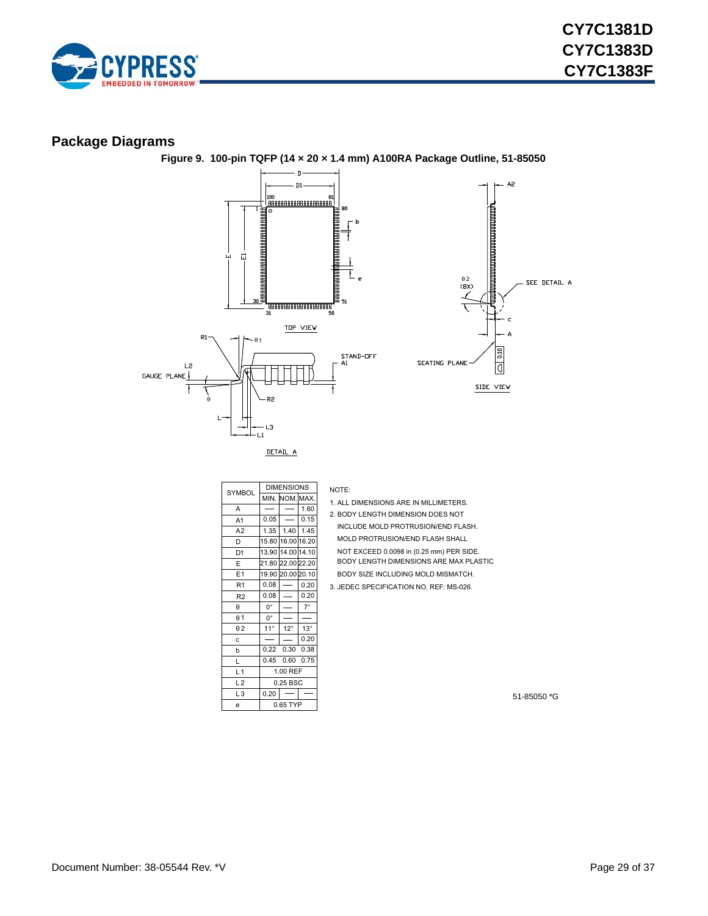

### <span id="page-28-0"></span>**Package Diagrams**



**Figure 9. 100-pin TQFP (14 × 20 × 1.4 mm) A100RA Package Outline, 51-85050**

| <b>SYMBOL</b>  | <b>DIMENSIONS</b> |                 |              |  |
|----------------|-------------------|-----------------|--------------|--|
|                |                   | min. Inom.Imax. |              |  |
| A              |                   |                 | 1.60         |  |
| A <sub>1</sub> | 0.05              |                 | 0.15         |  |
| A2             | 1.35              | 1.40            | 1.45         |  |
| D              | 15.80             | 16.00 16.20     |              |  |
| D1             | 13.90             | 14.00 14.10     |              |  |
| E              | 21.80             | 22.00 22.20     |              |  |
| E <sub>1</sub> | 19.90             | 20.00 20.10     |              |  |
| R <sub>1</sub> | 0.08              |                 | 0.20         |  |
| R <sub>2</sub> | 0.08              |                 | 0.20         |  |
| $\theta$       | $0^{\circ}$       |                 | $7^\circ$    |  |
| $\theta$ 1     | $0^{\circ}$       |                 |              |  |
| $\theta$ 2     | $11^{\circ}$      | $12^{\circ}$    | $13^{\circ}$ |  |
| C              |                   |                 | 0.20         |  |
| b              | 0.22              | 0.30            | 0.38         |  |
| L              | 0.45              | 0.60            | 0.75         |  |
| L <sub>1</sub> | 1.00 REF          |                 |              |  |
| L <sub>2</sub> | 0.25 BSC          |                 |              |  |
| L <sub>3</sub> | 0.20              |                 |              |  |
| e              |                   | 0.65 TYP        |              |  |

NOTE:

- 1. ALL DIMENSIONS ARE IN MILLIMETERS.
- 2. BODY LENGTH DIMENSION DOES NOT
- INCLUDE MOLD PROTRUSION/END FLASH.
- MOLD PROTRUSION/END FLASH SHALL
- NOT EXCEED 0.0098 in (0.25 mm) PER SIDE. BODY LENGTH DIMENSIONS ARE MAX PLASTIC
- BODY SIZE INCLUDING MOLD MISMATCH.
- 3. JEDEC SPECIFICATION NO. REF: MS-026.

51-85050 \*G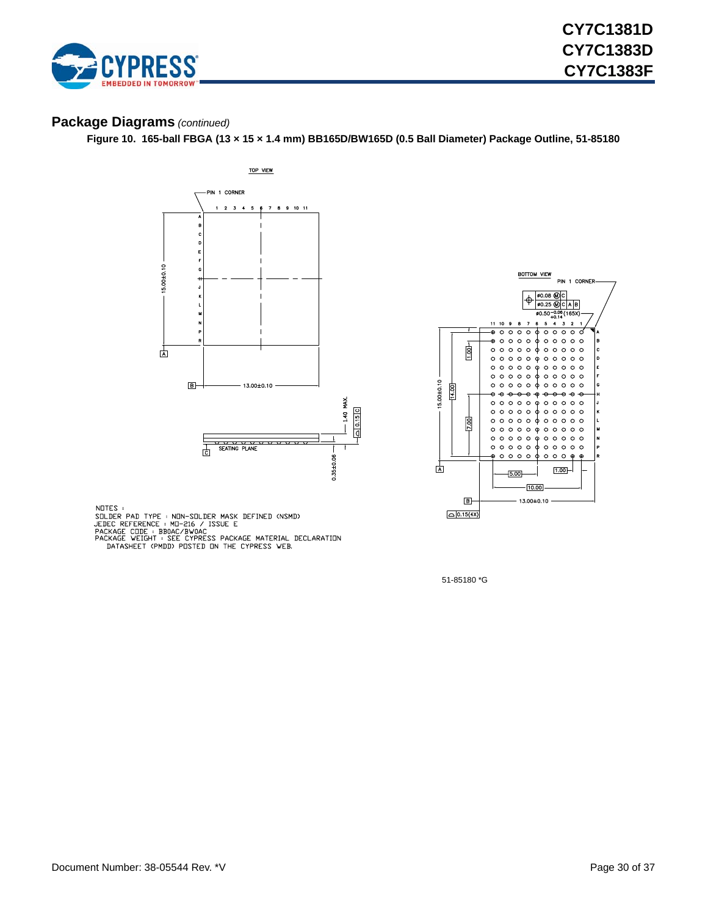

### **Package Diagrams** *(continued)*

**Figure 10. 165-ball FBGA (13 × 15 × 1.4 mm) BB165D/BW165D (0.5 Ball Diameter) Package Outline, 51-85180**





NOTES :

NUILS<br>
SOLDER PAD TYPE : NON-SOLDER MASK DEFINED (NSMD)<br>
JEDEC REFERENCE : MO-216 / ISSUE E<br>
PACKAGE CODE : BBOAC/BWOAC<br>
PACKAGE WEIGHT : SEE CYPRESS PACKAGE MATERIAL DECLARATION<br>
DATASHEET (PMDD) POSTED ON THE CYPRESS WEB

51-85180 \*G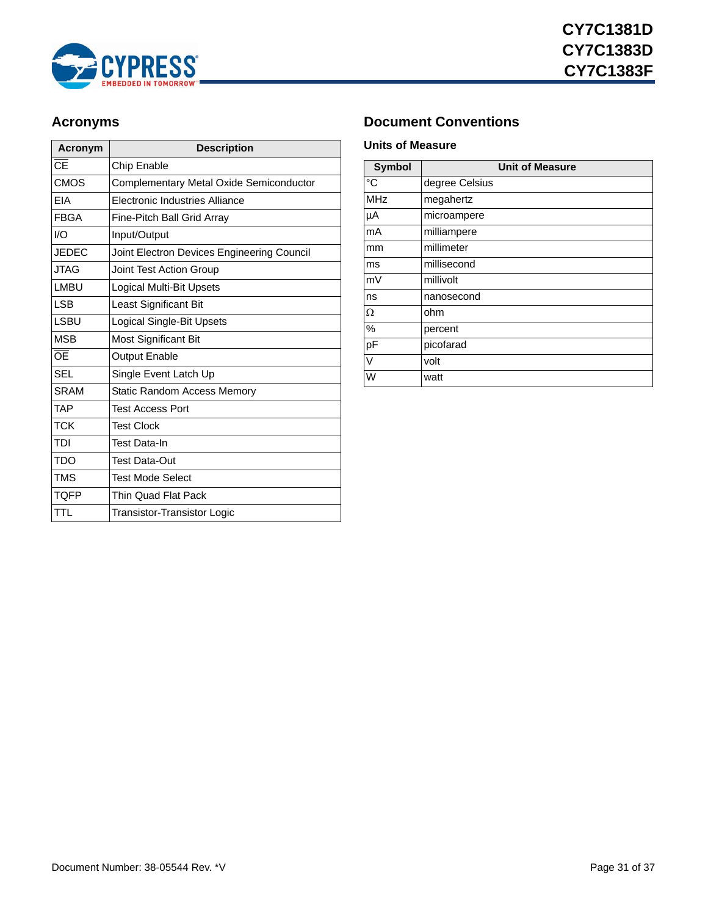

| Acronym                           | <b>Description</b>                         |
|-----------------------------------|--------------------------------------------|
| $\overline{\overline{\text{CE}}}$ | Chip Enable                                |
| <b>CMOS</b>                       | Complementary Metal Oxide Semiconductor    |
| EIA                               | Electronic Industries Alliance             |
| <b>FBGA</b>                       | Fine-Pitch Ball Grid Array                 |
| I/O                               | Input/Output                               |
| <b>JEDEC</b>                      | Joint Electron Devices Engineering Council |
| <b>JTAG</b>                       | Joint Test Action Group                    |
| <b>LMBU</b>                       | <b>Logical Multi-Bit Upsets</b>            |
| <b>LSB</b>                        | Least Significant Bit                      |
| <b>LSBU</b>                       | Logical Single-Bit Upsets                  |
| <b>MSB</b>                        | Most Significant Bit                       |
| ŌĒ                                | <b>Output Enable</b>                       |
| <b>SEL</b>                        | Single Event Latch Up                      |
| <b>SRAM</b>                       | Static Random Access Memory                |
| <b>TAP</b>                        | Test Access Port                           |
| <b>TCK</b>                        | <b>Test Clock</b>                          |
| TDI                               | Test Data-In                               |
| <b>TDO</b>                        | Test Data-Out                              |
| <b>TMS</b>                        | <b>Test Mode Select</b>                    |
| <b>TQFP</b>                       | Thin Quad Flat Pack                        |
| <b>TTL</b>                        | Transistor-Transistor Logic                |

### <span id="page-30-0"></span>Acronyms **Document Conventions**

#### <span id="page-30-2"></span><span id="page-30-1"></span>**Units of Measure**

| <b>Symbol</b> | <b>Unit of Measure</b> |
|---------------|------------------------|
| °C            | degree Celsius         |
| <b>MHz</b>    | megahertz              |
| μA            | microampere            |
| mA            | milliampere            |
| mm            | millimeter             |
| ms            | millisecond            |
| mV            | millivolt              |
| ns            | nanosecond             |
| Ω             | ohm                    |
| $\%$          | percent                |
| pF            | picofarad              |
| V             | volt                   |
| W             | watt                   |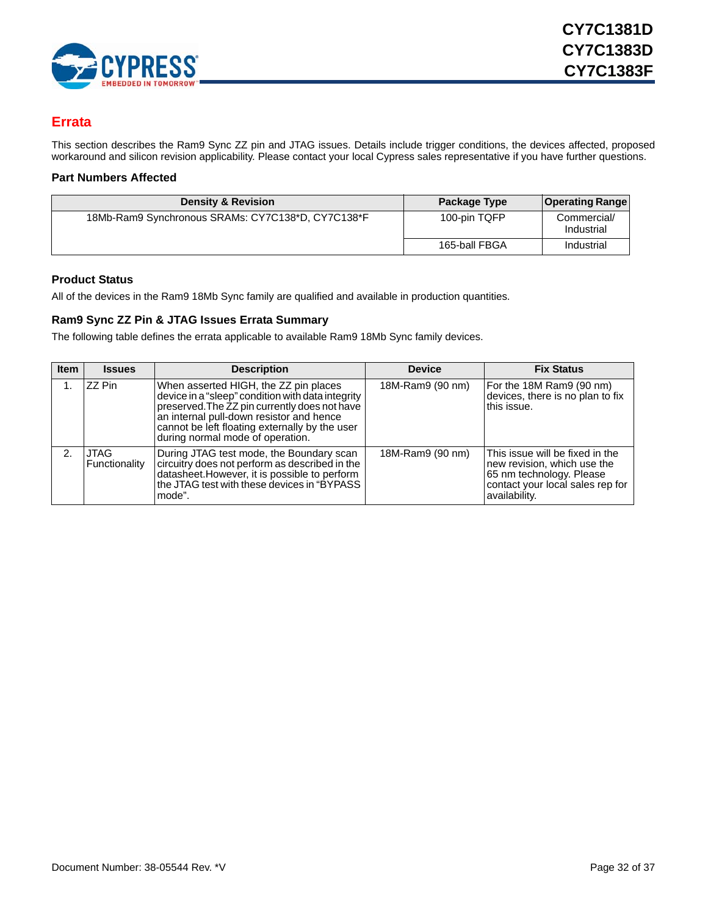

### <span id="page-31-0"></span>**Errata**

This section describes the Ram9 Sync ZZ pin and JTAG issues. Details include trigger conditions, the devices affected, proposed workaround and silicon revision applicability. Please contact your local Cypress sales representative if you have further questions.

#### <span id="page-31-1"></span>**Part Numbers Affected**

| <b>Density &amp; Revision</b>                     | Package Type  | <b>Operating Range</b>    |
|---------------------------------------------------|---------------|---------------------------|
| 18Mb-Ram9 Synchronous SRAMs: CY7C138*D, CY7C138*F | 100-pin TQFP  | Commercial/<br>Industrial |
|                                                   | 165-ball FBGA | Industrial                |

#### <span id="page-31-2"></span>**Product Status**

All of the devices in the Ram9 18Mb Sync family are qualified and available in production quantities.

#### <span id="page-31-3"></span>**Ram9 Sync ZZ Pin & JTAG Issues Errata Summary**

The following table defines the errata applicable to available Ram9 18Mb Sync family devices.

| <b>Item</b> | <b>Issues</b>         | <b>Description</b>                                                                                                                                                                                                                                                            | <b>Device</b>    | <b>Fix Status</b>                                                                                                                               |
|-------------|-----------------------|-------------------------------------------------------------------------------------------------------------------------------------------------------------------------------------------------------------------------------------------------------------------------------|------------------|-------------------------------------------------------------------------------------------------------------------------------------------------|
|             | ZZ Pin                | When asserted HIGH, the ZZ pin places<br>device in a "sleep" condition with data integrity<br>preserved. The ZZ pin currently does not have<br>an internal pull-down resistor and hence<br>cannot be left floating externally by the user<br>during normal mode of operation. | 18M-Ram9 (90 nm) | For the 18M Ram9 (90 nm)<br>devices, there is no plan to fix<br>this issue.                                                                     |
| 2.          | JTAG<br>Functionality | During JTAG test mode, the Boundary scan<br>circuitry does not perform as described in the<br>datasheet. However, it is possible to perform<br>the JTAG test with these devices in "BYPASS"<br>mode".                                                                         | 18M-Ram9 (90 nm) | This issue will be fixed in the<br>new revision, which use the<br>65 nm technology. Please<br>contact your local sales rep for<br>availability. |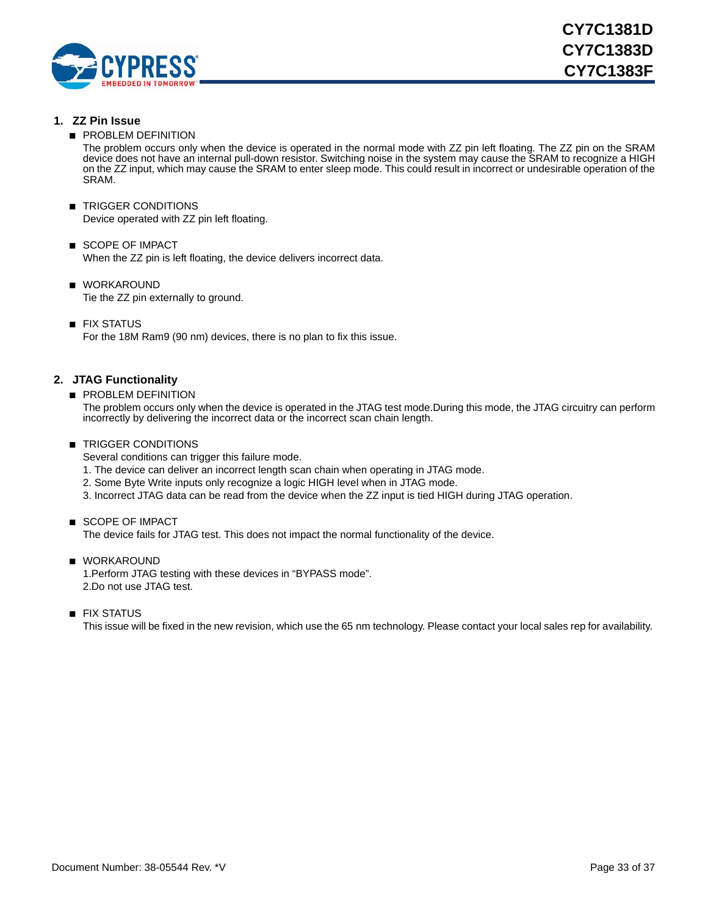

#### **1. ZZ Pin Issue**

**■ PROBLEM DEFINITION** 

The problem occurs only when the device is operated in the normal mode with ZZ pin left floating. The ZZ pin on the SRAM device does not have an internal pull-down resistor. Switching noise in the system may cause the SRAM to recognize a HIGH on the ZZ input, which may cause the SRAM to enter sleep mode. This could result in incorrect or undesirable operation of the SRAM.

- TRIGGER CONDITIONS Device operated with ZZ pin left floating.
- SCOPE OF IMPACT When the ZZ pin is left floating, the device delivers incorrect data.
- WORKAROUND Tie the ZZ pin externally to ground.
- FIX STATUS

For the 18M Ram9 (90 nm) devices, there is no plan to fix this issue.

#### **2. JTAG Functionality**

■ PROBLEM DEFINITION

The problem occurs only when the device is operated in the JTAG test mode.During this mode, the JTAG circuitry can perform incorrectly by delivering the incorrect data or the incorrect scan chain length.

#### ■ TRIGGER CONDITIONS

Several conditions can trigger this failure mode.

- 1. The device can deliver an incorrect length scan chain when operating in JTAG mode.
- 2. Some Byte Write inputs only recognize a logic HIGH level when in JTAG mode.
- 3. Incorrect JTAG data can be read from the device when the ZZ input is tied HIGH during JTAG operation.
- SCOPE OF IMPACT

The device fails for JTAG test. This does not impact the normal functionality of the device.

- WORKAROUND 1.Perform JTAG testing with these devices in "BYPASS mode". 2.Do not use JTAG test.
- FIX STATUS

This issue will be fixed in the new revision, which use the 65 nm technology. Please contact your local sales rep for availability.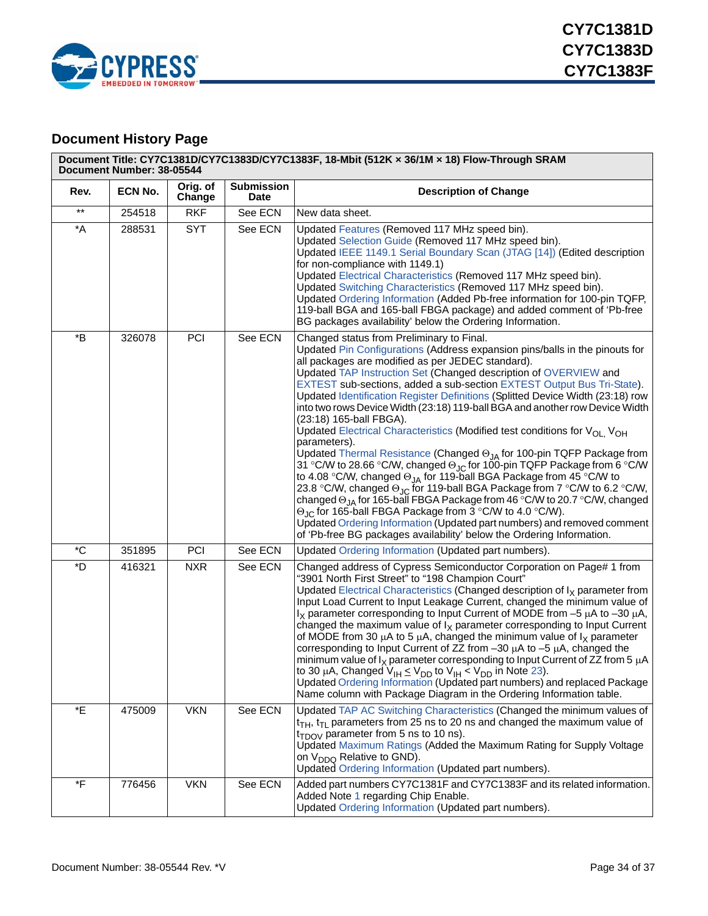

## <span id="page-33-0"></span>**Document History Page**

|                            | Document Title: CY7C1381D/CY7C1383D/CY7C1383F, 18-Mbit (512K x 36/1M x 18) Flow-Through SRAM<br>Document Number: 38-05544 |                    |                                  |                                                                                                                                                                                                                                                                                                                                                                                                                                                                                                                                                                                                                                                                                                                                                                                                                                                                                                                                                                                                                                                                                                                                                                                                                                                                                                                                 |  |
|----------------------------|---------------------------------------------------------------------------------------------------------------------------|--------------------|----------------------------------|---------------------------------------------------------------------------------------------------------------------------------------------------------------------------------------------------------------------------------------------------------------------------------------------------------------------------------------------------------------------------------------------------------------------------------------------------------------------------------------------------------------------------------------------------------------------------------------------------------------------------------------------------------------------------------------------------------------------------------------------------------------------------------------------------------------------------------------------------------------------------------------------------------------------------------------------------------------------------------------------------------------------------------------------------------------------------------------------------------------------------------------------------------------------------------------------------------------------------------------------------------------------------------------------------------------------------------|--|
| Rev.                       | ECN No.                                                                                                                   | Orig. of<br>Change | <b>Submission</b><br><b>Date</b> | <b>Description of Change</b>                                                                                                                                                                                                                                                                                                                                                                                                                                                                                                                                                                                                                                                                                                                                                                                                                                                                                                                                                                                                                                                                                                                                                                                                                                                                                                    |  |
| $\star\star$               | 254518                                                                                                                    | <b>RKF</b>         | See ECN                          | New data sheet.                                                                                                                                                                                                                                                                                                                                                                                                                                                                                                                                                                                                                                                                                                                                                                                                                                                                                                                                                                                                                                                                                                                                                                                                                                                                                                                 |  |
| $\,{}^\star \! \mathsf{A}$ | 288531                                                                                                                    | <b>SYT</b>         | See ECN                          | Updated Features (Removed 117 MHz speed bin).<br>Updated Selection Guide (Removed 117 MHz speed bin).<br>Updated IEEE 1149.1 Serial Boundary Scan (JTAG [14]) (Edited description<br>for non-compliance with 1149.1)<br>Updated Electrical Characteristics (Removed 117 MHz speed bin).<br>Updated Switching Characteristics (Removed 117 MHz speed bin).<br>Updated Ordering Information (Added Pb-free information for 100-pin TQFP,<br>119-ball BGA and 165-ball FBGA package) and added comment of 'Pb-free<br>BG packages availability' below the Ordering Information.                                                                                                                                                                                                                                                                                                                                                                                                                                                                                                                                                                                                                                                                                                                                                    |  |
| *B                         | 326078                                                                                                                    | <b>PCI</b>         | See ECN                          | Changed status from Preliminary to Final.<br>Updated Pin Configurations (Address expansion pins/balls in the pinouts for<br>all packages are modified as per JEDEC standard).<br>Updated TAP Instruction Set (Changed description of OVERVIEW and<br>EXTEST sub-sections, added a sub-section EXTEST Output Bus Tri-State).<br>Updated Identification Register Definitions (Splitted Device Width (23:18) row<br>into two rows Device Width (23:18) 119-ball BGA and another row Device Width<br>(23:18) 165-ball FBGA).<br>Updated Electrical Characteristics (Modified test conditions for V <sub>OL.</sub> V <sub>OH</sub><br>parameters).<br>Updated Thermal Resistance (Changed $\Theta_{JA}$ for 100-pin TQFP Package from<br>31 °C/W to 28.66 °C/W, changed $\Theta_{\text{JC}}$ for 100-pin TQFP Package from 6 °C/W<br>to 4.08 °C/W, changed $\Theta_{JA}$ for 119-ball BGA Package from 45 °C/W to<br>23.8 °C/W, changed $\Theta_{\text{JC}}$ for 119-ball BGA Package from 7 °C/W to 6.2 °C/W,<br>changed $\Theta_{JA}$ for 165-ball FBGA Package from 46 °C/W to 20.7 °C/W, changed<br>$\Theta_{\text{JC}}$ for 165-ball FBGA Package from 3 °C/W to 4.0 °C/W).<br>Updated Ordering Information (Updated part numbers) and removed comment<br>of 'Pb-free BG packages availability' below the Ordering Information. |  |
| $^\ast{\rm C}$             | 351895                                                                                                                    | <b>PCI</b>         | See ECN                          | Updated Ordering Information (Updated part numbers).                                                                                                                                                                                                                                                                                                                                                                                                                                                                                                                                                                                                                                                                                                                                                                                                                                                                                                                                                                                                                                                                                                                                                                                                                                                                            |  |
| *D                         | 416321                                                                                                                    | <b>NXR</b>         | See ECN                          | Changed address of Cypress Semiconductor Corporation on Page# 1 from<br>"3901 North First Street" to "198 Champion Court"<br>Updated Electrical Characteristics (Changed description of $I_X$ parameter from<br>Input Load Current to Input Leakage Current, changed the minimum value of<br>$I_X$ parameter corresponding to Input Current of MODE from -5 $\mu$ A to -30 $\mu$ A,<br>changed the maximum value of $I_X$ parameter corresponding to Input Current<br>of MODE from 30 $\mu$ A to 5 $\mu$ A, changed the minimum value of $I_X$ parameter<br>corresponding to Input Current of ZZ from $-30 \mu A$ to $-5 \mu A$ , changed the<br>minimum value of $I_X$ parameter corresponding to Input Current of ZZ from 5 $\mu$ A<br>to 30 $\mu$ A, Changed V <sub>IH</sub> $\leq$ V <sub>DD</sub> to V <sub>IH</sub> < V <sub>DD</sub> in Note 23).<br>Updated Ordering Information (Updated part numbers) and replaced Package<br>Name column with Package Diagram in the Ordering Information table.                                                                                                                                                                                                                                                                                                                     |  |
| *E                         | 475009                                                                                                                    | <b>VKN</b>         | See ECN                          | Updated TAP AC Switching Characteristics (Changed the minimum values of<br>$t_{TH}$ , $t_{T1}$ parameters from 25 ns to 20 ns and changed the maximum value of<br>$t_{TDOV}$ parameter from 5 ns to 10 ns).<br>Updated Maximum Ratings (Added the Maximum Rating for Supply Voltage<br>on V <sub>DDQ</sub> Relative to GND).<br>Updated Ordering Information (Updated part numbers).                                                                                                                                                                                                                                                                                                                                                                                                                                                                                                                                                                                                                                                                                                                                                                                                                                                                                                                                            |  |
| $\boldsymbol{F}$           | 776456                                                                                                                    | <b>VKN</b>         | See ECN                          | Added part numbers CY7C1381F and CY7C1383F and its related information.<br>Added Note 1 regarding Chip Enable.<br>Updated Ordering Information (Updated part numbers).                                                                                                                                                                                                                                                                                                                                                                                                                                                                                                                                                                                                                                                                                                                                                                                                                                                                                                                                                                                                                                                                                                                                                          |  |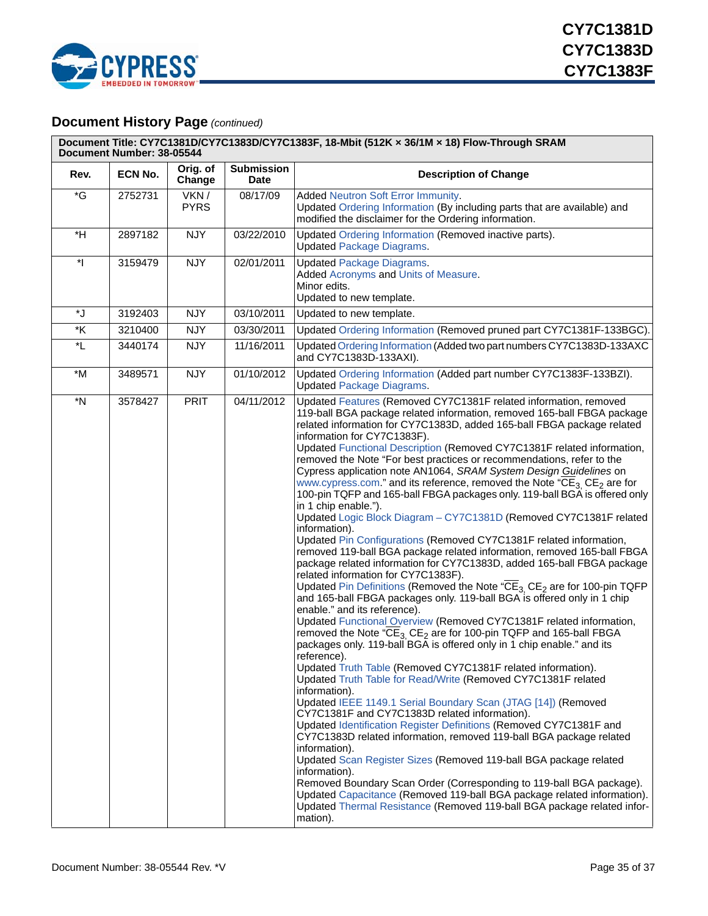

### **Document History Page** *(continued)*

| Document Title: CY7C1381D/CY7C1383D/CY7C1383F, 18-Mbit (512K x 36/1M x 18) Flow-Through SRAM<br>Document Number: 38-05544 |         |                     |                                  |                                                                                                                                                                                                                                                                                                                                                                                                                                                                                                                                                                                                                                                                                                                                                                                                                                                                                                                                                                                                                                                                                                                                                                                                                                                                                                                                                                                                                                                                                                                                                                                                                                                                                                                                                                                                                                                                                                                                                                                                                                                                                                                                                                                                                                                                                                     |  |
|---------------------------------------------------------------------------------------------------------------------------|---------|---------------------|----------------------------------|-----------------------------------------------------------------------------------------------------------------------------------------------------------------------------------------------------------------------------------------------------------------------------------------------------------------------------------------------------------------------------------------------------------------------------------------------------------------------------------------------------------------------------------------------------------------------------------------------------------------------------------------------------------------------------------------------------------------------------------------------------------------------------------------------------------------------------------------------------------------------------------------------------------------------------------------------------------------------------------------------------------------------------------------------------------------------------------------------------------------------------------------------------------------------------------------------------------------------------------------------------------------------------------------------------------------------------------------------------------------------------------------------------------------------------------------------------------------------------------------------------------------------------------------------------------------------------------------------------------------------------------------------------------------------------------------------------------------------------------------------------------------------------------------------------------------------------------------------------------------------------------------------------------------------------------------------------------------------------------------------------------------------------------------------------------------------------------------------------------------------------------------------------------------------------------------------------------------------------------------------------------------------------------------------------|--|
| Rev.                                                                                                                      | ECN No. | Orig. of<br>Change  | <b>Submission</b><br><b>Date</b> | <b>Description of Change</b>                                                                                                                                                                                                                                                                                                                                                                                                                                                                                                                                                                                                                                                                                                                                                                                                                                                                                                                                                                                                                                                                                                                                                                                                                                                                                                                                                                                                                                                                                                                                                                                                                                                                                                                                                                                                                                                                                                                                                                                                                                                                                                                                                                                                                                                                        |  |
| $\mathcal{E}$                                                                                                             | 2752731 | VKN/<br><b>PYRS</b> | 08/17/09                         | Added Neutron Soft Error Immunity.<br>Updated Ordering Information (By including parts that are available) and<br>modified the disclaimer for the Ordering information.                                                                                                                                                                                                                                                                                                                                                                                                                                                                                                                                                                                                                                                                                                                                                                                                                                                                                                                                                                                                                                                                                                                                                                                                                                                                                                                                                                                                                                                                                                                                                                                                                                                                                                                                                                                                                                                                                                                                                                                                                                                                                                                             |  |
| $*H$                                                                                                                      | 2897182 | <b>NJY</b>          | 03/22/2010                       | Updated Ordering Information (Removed inactive parts).<br><b>Updated Package Diagrams.</b>                                                                                                                                                                                                                                                                                                                                                                                                                                                                                                                                                                                                                                                                                                                                                                                                                                                                                                                                                                                                                                                                                                                                                                                                                                                                                                                                                                                                                                                                                                                                                                                                                                                                                                                                                                                                                                                                                                                                                                                                                                                                                                                                                                                                          |  |
| $\mathbf{H}$                                                                                                              | 3159479 | <b>NJY</b>          | 02/01/2011                       | <b>Updated Package Diagrams.</b><br>Added Acronyms and Units of Measure.<br>Minor edits.<br>Updated to new template.                                                                                                                                                                                                                                                                                                                                                                                                                                                                                                                                                                                                                                                                                                                                                                                                                                                                                                                                                                                                                                                                                                                                                                                                                                                                                                                                                                                                                                                                                                                                                                                                                                                                                                                                                                                                                                                                                                                                                                                                                                                                                                                                                                                |  |
| *J                                                                                                                        | 3192403 | <b>NJY</b>          | 03/10/2011                       | Updated to new template.                                                                                                                                                                                                                                                                                                                                                                                                                                                                                                                                                                                                                                                                                                                                                                                                                                                                                                                                                                                                                                                                                                                                                                                                                                                                                                                                                                                                                                                                                                                                                                                                                                                                                                                                                                                                                                                                                                                                                                                                                                                                                                                                                                                                                                                                            |  |
| $^\star \! \mathsf{K}$                                                                                                    | 3210400 | <b>NJY</b>          | 03/30/2011                       | Updated Ordering Information (Removed pruned part CY7C1381F-133BGC).                                                                                                                                                                                                                                                                                                                                                                                                                                                                                                                                                                                                                                                                                                                                                                                                                                                                                                                                                                                                                                                                                                                                                                                                                                                                                                                                                                                                                                                                                                                                                                                                                                                                                                                                                                                                                                                                                                                                                                                                                                                                                                                                                                                                                                |  |
| *L                                                                                                                        | 3440174 | <b>NJY</b>          | 11/16/2011                       | Updated Ordering Information (Added two part numbers CY7C1383D-133AXC<br>and CY7C1383D-133AXI).                                                                                                                                                                                                                                                                                                                                                                                                                                                                                                                                                                                                                                                                                                                                                                                                                                                                                                                                                                                                                                                                                                                                                                                                                                                                                                                                                                                                                                                                                                                                                                                                                                                                                                                                                                                                                                                                                                                                                                                                                                                                                                                                                                                                     |  |
| *M                                                                                                                        | 3489571 | <b>NJY</b>          | 01/10/2012                       | Updated Ordering Information (Added part number CY7C1383F-133BZI).<br><b>Updated Package Diagrams.</b>                                                                                                                                                                                                                                                                                                                                                                                                                                                                                                                                                                                                                                                                                                                                                                                                                                                                                                                                                                                                                                                                                                                                                                                                                                                                                                                                                                                                                                                                                                                                                                                                                                                                                                                                                                                                                                                                                                                                                                                                                                                                                                                                                                                              |  |
| $*N$                                                                                                                      | 3578427 | PRIT                | 04/11/2012                       | Updated Features (Removed CY7C1381F related information, removed<br>119-ball BGA package related information, removed 165-ball FBGA package<br>related information for CY7C1383D, added 165-ball FBGA package related<br>information for CY7C1383F).<br>Updated Functional Description (Removed CY7C1381F related information,<br>removed the Note "For best practices or recommendations, refer to the<br>Cypress application note AN1064, SRAM System Design Guidelines on<br>www.cypress.com." and its reference, removed the Note "CE <sub>3</sub> CE <sub>2</sub> are for<br>100-pin TQFP and 165-ball FBGA packages only. 119-ball BGA is offered only<br>in 1 chip enable.").<br>Updated Logic Block Diagram - CY7C1381D (Removed CY7C1381F related<br>information).<br>Updated Pin Configurations (Removed CY7C1381F related information,<br>removed 119-ball BGA package related information, removed 165-ball FBGA<br>package related information for CY7C1383D, added 165-ball FBGA package<br>related information for CY7C1383F).<br>Updated Pin Definitions (Removed the Note "CE <sub>3</sub> CE <sub>2</sub> are for 100-pin TQFP<br>and 165-ball FBGA packages only. 119-ball BGA is offered only in 1 chip<br>enable." and its reference).<br>Updated Functional Overview (Removed CY7C1381F related information,<br>removed the Note " $\overline{\text{CE}}_3$ CE <sub>2</sub> are for 100-pin TQFP and 165-ball FBGA<br>packages only. 119-ball BGA is offered only in 1 chip enable." and its<br>reference).<br>Updated Truth Table (Removed CY7C1381F related information).<br>Updated Truth Table for Read/Write (Removed CY7C1381F related<br>information).<br>Updated IEEE 1149.1 Serial Boundary Scan (JTAG [14]) (Removed<br>CY7C1381F and CY7C1383D related information).<br>Updated Identification Register Definitions (Removed CY7C1381F and<br>CY7C1383D related information, removed 119-ball BGA package related<br>information).<br>Updated Scan Register Sizes (Removed 119-ball BGA package related<br>information).<br>Removed Boundary Scan Order (Corresponding to 119-ball BGA package).<br>Updated Capacitance (Removed 119-ball BGA package related information).<br>Updated Thermal Resistance (Removed 119-ball BGA package related infor-<br>mation). |  |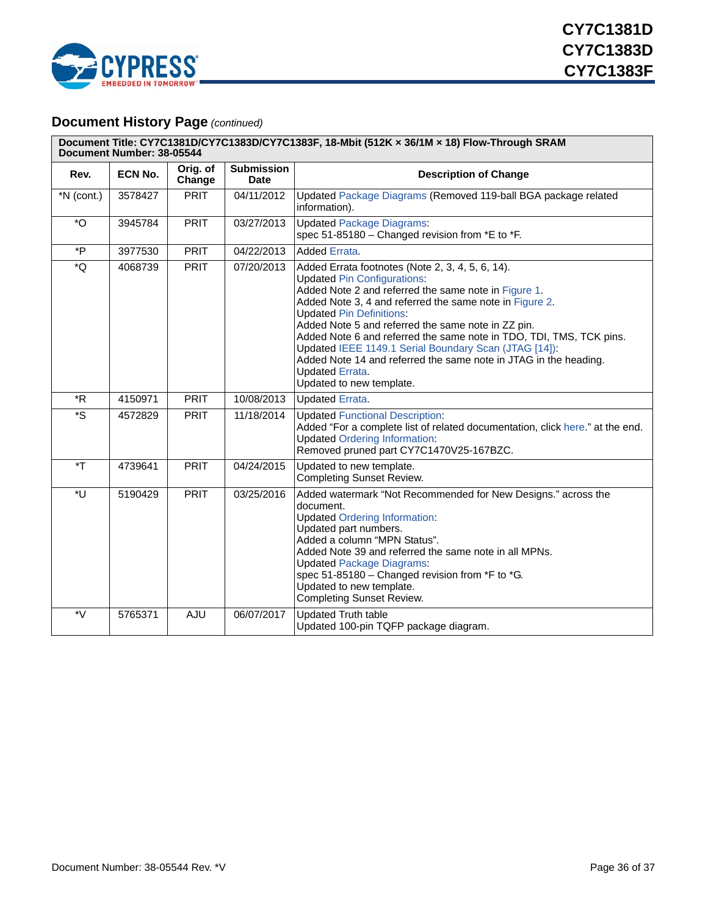

### **Document History Page** *(continued)*

| Document Title: CY7C1381D/CY7C1383D/CY7C1383F, 18-Mbit (512K x 36/1M x 18) Flow-Through SRAM<br>Document Number: 38-05544 |                |                    |                                  |                                                                                                                                                                                                                                                                                                                                                                                                                                                                                                                                                              |  |
|---------------------------------------------------------------------------------------------------------------------------|----------------|--------------------|----------------------------------|--------------------------------------------------------------------------------------------------------------------------------------------------------------------------------------------------------------------------------------------------------------------------------------------------------------------------------------------------------------------------------------------------------------------------------------------------------------------------------------------------------------------------------------------------------------|--|
| Rev.                                                                                                                      | <b>ECN No.</b> | Orig. of<br>Change | <b>Submission</b><br><b>Date</b> | <b>Description of Change</b>                                                                                                                                                                                                                                                                                                                                                                                                                                                                                                                                 |  |
| $*N$ (cont.)                                                                                                              | 3578427        | <b>PRIT</b>        | 04/11/2012                       | Updated Package Diagrams (Removed 119-ball BGA package related<br>information).                                                                                                                                                                                                                                                                                                                                                                                                                                                                              |  |
| $^\star \text{O}$                                                                                                         | 3945784        | <b>PRIT</b>        | 03/27/2013                       | <b>Updated Package Diagrams:</b><br>spec 51-85180 - Changed revision from *E to *F.                                                                                                                                                                                                                                                                                                                                                                                                                                                                          |  |
| $*_{P}$                                                                                                                   | 3977530        | <b>PRIT</b>        | 04/22/2013                       | <b>Added Errata.</b>                                                                                                                                                                                                                                                                                                                                                                                                                                                                                                                                         |  |
| *Q                                                                                                                        | 4068739        | <b>PRIT</b>        | 07/20/2013                       | Added Errata footnotes (Note 2, 3, 4, 5, 6, 14).<br><b>Updated Pin Configurations:</b><br>Added Note 2 and referred the same note in Figure 1.<br>Added Note 3, 4 and referred the same note in Figure 2.<br><b>Updated Pin Definitions:</b><br>Added Note 5 and referred the same note in ZZ pin.<br>Added Note 6 and referred the same note in TDO, TDI, TMS, TCK pins.<br>Updated IEEE 1149.1 Serial Boundary Scan (JTAG [14]):<br>Added Note 14 and referred the same note in JTAG in the heading.<br><b>Updated Errata.</b><br>Updated to new template. |  |
| $*R$                                                                                                                      | 4150971        | <b>PRIT</b>        | 10/08/2013                       | <b>Updated Errata.</b>                                                                                                                                                                                                                                                                                                                                                                                                                                                                                                                                       |  |
| *S                                                                                                                        | 4572829        | <b>PRIT</b>        | 11/18/2014                       | <b>Updated Functional Description:</b><br>Added "For a complete list of related documentation, click here." at the end.<br><b>Updated Ordering Information:</b><br>Removed pruned part CY7C1470V25-167BZC.                                                                                                                                                                                                                                                                                                                                                   |  |
| $\mathbf{F}^*$                                                                                                            | 4739641        | <b>PRIT</b>        | 04/24/2015                       | Updated to new template.<br><b>Completing Sunset Review.</b>                                                                                                                                                                                                                                                                                                                                                                                                                                                                                                 |  |
| *U                                                                                                                        | 5190429        | <b>PRIT</b>        | 03/25/2016                       | Added watermark "Not Recommended for New Designs." across the<br>document.<br><b>Updated Ordering Information:</b><br>Updated part numbers.<br>Added a column "MPN Status".<br>Added Note 39 and referred the same note in all MPNs.<br><b>Updated Package Diagrams:</b><br>spec 51-85180 - Changed revision from *F to *G.<br>Updated to new template.<br><b>Completing Sunset Review.</b>                                                                                                                                                                  |  |
| *V                                                                                                                        | 5765371        | AJU                | 06/07/2017                       | <b>Updated Truth table</b><br>Updated 100-pin TQFP package diagram.                                                                                                                                                                                                                                                                                                                                                                                                                                                                                          |  |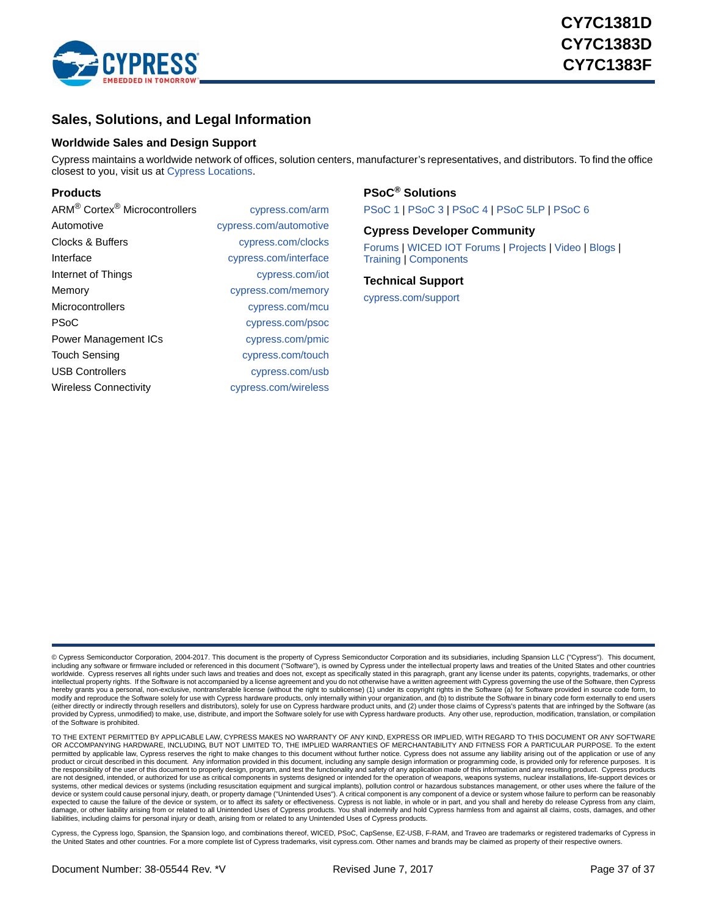

### <span id="page-36-0"></span>**Sales, Solutions, and Legal Information**

#### <span id="page-36-1"></span>**Worldwide Sales and Design Support**

Cypress maintains a worldwide network of offices, solution centers, manufacturer's representatives, and distributors. To find the office closest to you, visit us at [Cypress Locations](http://www.cypress.com/go/locations).

#### **Products**

| cypress.com/arm        |
|------------------------|
| cypress.com/automotive |
| cypress.com/clocks     |
| cypress.com/interface  |
| cypress.com/iot        |
| cypress.com/memory     |
| cypress.com/mcu        |
| cypress.com/psoc       |
| cypress.com/pmic       |
| cypress.com/touch      |
| cypress.com/usb        |
| cypress.com/wireless   |
|                        |

#### **PSoC® [Solutions](http://www.cypress.com/psoc)**

[PSoC 1](http://www.cypress.com/products/psoc-1) | [PSoC 3](http://www.cypress.com/products/psoc-3) | [PSoC 4](http://www.cypress.com/products/psoc-4) [| PSoC 5LP](http://www.cypress.com/products/32-bit-arm-cortex-m3-psoc-5lp) [| PSoC 6](http://www.cypress.com/psoc6)

#### **[Cypress Developer Community](http://www.cypress.com/cdc)**

[Forums](http://www.cypress.com/forum) | [WICED IOT Forums](https://community.cypress.com/welcome) | [Projects](http://www.cypress.com/projects) | [Video](http://www.cypress.com/video-library) | [Blogs](http://www.cypress.com/blog) | [Training](http://www.cypress.com/training) | [Components](http://www.cypress.com/cdc/community-components)

#### **[Technical Support](http://www.cypress.com/support)**

[cypress.com/support](http://www.cypress.com/support)

© Cypress Semiconductor Corporation, 2004-2017. This document is the property of Cypress Semiconductor Corporation and its subsidiaries, including Spansion LLC ("Cypress"). This document, including any software or firmware included or referenced in this document ("Software"), is owned by Cypress under the intellectual property laws and treaties of the United States and other countries worldwide. Cypress reserves all rights under such laws and treaties and does not, except as specifically stated in this paragraph, grant any license under its patents, copyrights, trademarks, or other<br>intellectual property modify and reproduce the Software solely for use with Cypress hardware products, only internally within your organization, and (b) to distribute the Software in binary code form externally to end users<br>(either directly or provided by Cypress, unmodified) to make, use, distribute, and import the Software solely for use with Cypress hardware products. Any other use, reproduction, modification, translation, or compilation of the Software is prohibited.

TO THE EXTENT PERMITTED BY APPLICABLE LAW, CYPRESS MAKES NO WARRANTY OF ANY KIND, EXPRESS OR IMPLIED, WITH REGARD TO THIS DOCUMENT OR ANY SOFTWARE<br>OR ACCOMPANYING HARDWARE, INCLUDING, BUT NOT LIMITED TO, THE IMPLIED WARRAN permitted by applicable law, Cypress reserves the right to make changes to this document without further notice. Cypress does not assume any liability arising out of the application or use of any product or circuit described in this document. Any information provided in this document, including any sample design information or programming code, is provided only for reference purposes. It is<br>the responsibility of th are not designed, intended, or authorized for use as critical components in systems designed or intended for the operation of weapons, weapons systems, nuclear installations, life-support devices or systems, other medical devices or systems (including resuscitation equipment and surgical implants), pollution control or hazardous substances management, or other uses where the failure of the<br>device or system could cause expected to cause the failure of the device or system, or to affect its safety or effectiveness. Cypress is not liable, in whole or in part, and you shall and hereby do release Cypress from any claim,<br>damage, or other liab

Cypress, the Cypress logo, Spansion, the Spansion logo, and combinations thereof, WICED, PSoC, CapSense, EZ-USB, F-RAM, and Traveo are trademarks or registered trademarks of Cypress in the United States and other countries. For a more complete list of Cypress trademarks, visit cypress.com. Other names and brands may be claimed as property of their respective owners